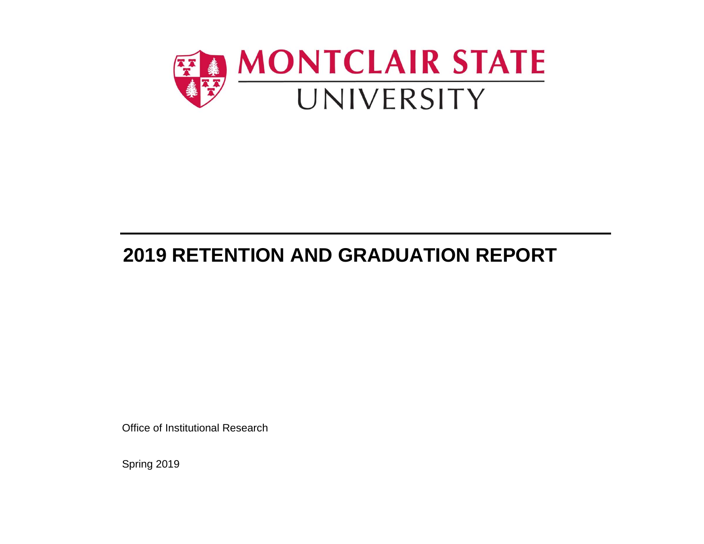

# **2019 RETENTION AND GRADUATION REPORT**

Office of Institutional Research

Sprin g 2019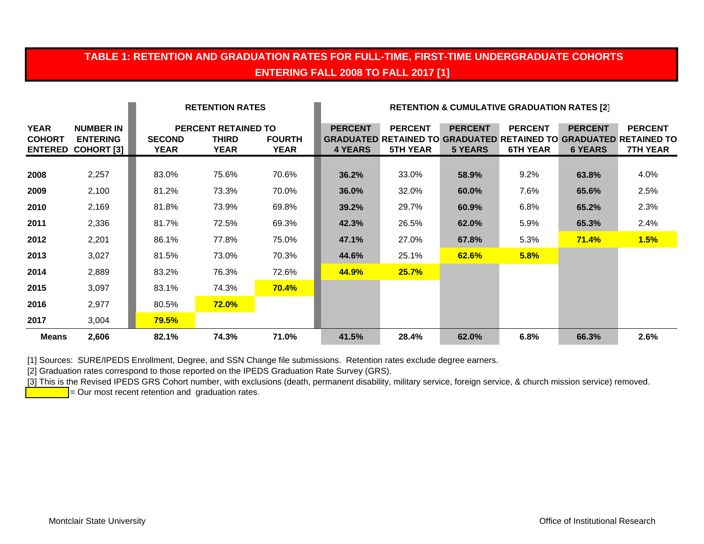## **TABLE 1: RETENTION AND GRADUATION RATES FOR FULL-TIME, FIRST-TIME UNDERGRADUATE COHORTS ENTERING FALL 2008 TO FALL 2017 [1]**

|                                                |                                                          |                       | <b>RETENTION RATES</b>                                    |                              |                                  |                                   | <b>RETENTION &amp; CUMULATIVE GRADUATION RATES [2]</b> |                                   |                                  |                                                                                                               |
|------------------------------------------------|----------------------------------------------------------|-----------------------|-----------------------------------------------------------|------------------------------|----------------------------------|-----------------------------------|--------------------------------------------------------|-----------------------------------|----------------------------------|---------------------------------------------------------------------------------------------------------------|
| <b>YEAR</b><br><b>COHORT</b><br><b>ENTERED</b> | <b>NUMBER IN</b><br><b>ENTERING</b><br><b>COHORT [3]</b> | <b>SECOND</b><br>YEAR | <b>PERCENT RETAINED TO</b><br><b>THIRD</b><br><b>YEAR</b> | <b>FOURTH</b><br><b>YEAR</b> | <b>PERCENT</b><br><b>4 YEARS</b> | <b>PERCENT</b><br><b>5TH YEAR</b> | <b>PERCENT</b><br><b>5 YEARS</b>                       | <b>PERCENT</b><br><b>6TH YEAR</b> | <b>PERCENT</b><br><b>6 YEARS</b> | <b>PERCENT</b><br><b>GRADUATED RETAINED TO GRADUATED RETAINED TO GRADUATED RETAINED TO</b><br><b>7TH YEAR</b> |
| 2008                                           | 2,257                                                    | 83.0%                 | 75.6%                                                     | 70.6%                        | 36.2%                            | 33.0%                             | 58.9%                                                  | 9.2%                              | 63.8%                            | 4.0%                                                                                                          |
| 2009                                           | 2,100                                                    | 81.2%                 | 73.3%                                                     | 70.0%                        | 36.0%                            | 32.0%                             | 60.0%                                                  | 7.6%                              | 65.6%                            | 2.5%                                                                                                          |
| 2010                                           | 2,169                                                    | 81.8%                 | 73.9%                                                     | 69.8%                        | 39.2%                            | 29.7%                             | 60.9%                                                  | 6.8%                              | 65.2%                            | 2.3%                                                                                                          |
| 2011                                           | 2,336                                                    | 81.7%                 | 72.5%                                                     | 69.3%                        | 42.3%                            | 26.5%                             | 62.0%                                                  | 5.9%                              | 65.3%                            | 2.4%                                                                                                          |
| 2012                                           | 2,201                                                    | 86.1%                 | 77.8%                                                     | 75.0%                        | 47.1%                            | 27.0%                             | 67.8%                                                  | 5.3%                              | 71.4%                            | 1.5%                                                                                                          |
| 2013                                           | 3,027                                                    | 81.5%                 | 73.0%                                                     | 70.3%                        | 44.6%                            | 25.1%                             | 62.6%                                                  | 5.8%                              |                                  |                                                                                                               |
| 2014                                           | 2,889                                                    | 83.2%                 | 76.3%                                                     | 72.6%                        | 44.9%                            | 25.7%                             |                                                        |                                   |                                  |                                                                                                               |
| 2015                                           | 3,097                                                    | 83.1%                 | 74.3%                                                     | 70.4%                        |                                  |                                   |                                                        |                                   |                                  |                                                                                                               |
| 2016                                           | 2,977                                                    | 80.5%                 | <b>72.0%</b>                                              |                              |                                  |                                   |                                                        |                                   |                                  |                                                                                                               |
| 2017                                           | 3,004                                                    | <b>79.5%</b>          |                                                           |                              |                                  |                                   |                                                        |                                   |                                  |                                                                                                               |
| <b>Means</b>                                   | 2,606                                                    | 82.1%                 | 74.3%                                                     | 71.0%                        | 41.5%                            | 28.4%                             | 62.0%                                                  | 6.8%                              | 66.3%                            | 2.6%                                                                                                          |

[1] Sources: SURE/IPEDS Enrollment, Degree, and SSN Change file submissions. Retention rates exclude degree earners.

[2] Graduation rates correspond to those reported on the IPEDS Graduation Rate Survey (GRS).

[3] This is the Revised IPEDS GRS Cohort number, with exclusions (death, permanent disability, military service, foreign service, & church mission service) removed.

 $=$  Our most recent retention and graduation rates.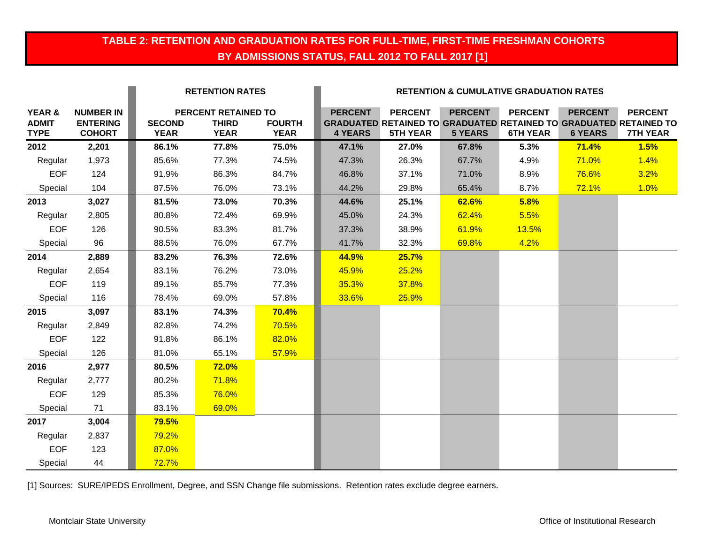## **TABLE 2: RETENTION AND GRADUATION RATES FOR FULL-TIME, FIRST-TIME FRESHMAN COHORTS BY ADMISSIONS STATUS, FALL 2012 TO FALL 2017 [1]**

|                                       |                                                      |                              | <b>RETENTION RATES</b>                             |                              |                                  |                                   | <b>RETENTION &amp; CUMULATIVE GRADUATION RATES</b> |                                   |                                  |                                                                                                               |
|---------------------------------------|------------------------------------------------------|------------------------------|----------------------------------------------------|------------------------------|----------------------------------|-----------------------------------|----------------------------------------------------|-----------------------------------|----------------------------------|---------------------------------------------------------------------------------------------------------------|
| YEAR &<br><b>ADMIT</b><br><b>TYPE</b> | <b>NUMBER IN</b><br><b>ENTERING</b><br><b>COHORT</b> | <b>SECOND</b><br><b>YEAR</b> | PERCENT RETAINED TO<br><b>THIRD</b><br><b>YEAR</b> | <b>FOURTH</b><br><b>YEAR</b> | <b>PERCENT</b><br><b>4 YEARS</b> | <b>PERCENT</b><br><b>5TH YEAR</b> | <b>PERCENT</b><br><b>5 YEARS</b>                   | <b>PERCENT</b><br><b>6TH YEAR</b> | <b>PERCENT</b><br><b>6 YEARS</b> | <b>PERCENT</b><br><b>GRADUATED RETAINED TO GRADUATED RETAINED TO GRADUATED RETAINED TO</b><br><b>7TH YEAR</b> |
| 2012                                  | 2,201                                                | 86.1%                        | 77.8%                                              | 75.0%                        | 47.1%                            | 27.0%                             | 67.8%                                              | 5.3%                              | 71.4%                            | 1.5%                                                                                                          |
| Regular                               | 1,973                                                | 85.6%                        | 77.3%                                              | 74.5%                        | 47.3%                            | 26.3%                             | 67.7%                                              | 4.9%                              | 71.0%                            | 1.4%                                                                                                          |
| <b>EOF</b>                            | 124                                                  | 91.9%                        | 86.3%                                              | 84.7%                        | 46.8%                            | 37.1%                             | 71.0%                                              | 8.9%                              | 76.6%                            | 3.2%                                                                                                          |
| Special                               | 104                                                  | 87.5%                        | 76.0%                                              | 73.1%                        | 44.2%                            | 29.8%                             | 65.4%                                              | 8.7%                              | 72.1%                            | 1.0%                                                                                                          |
| 2013                                  | 3,027                                                | 81.5%                        | 73.0%                                              | 70.3%                        | 44.6%                            | 25.1%                             | 62.6%                                              | 5.8%                              |                                  |                                                                                                               |
| Regular                               | 2,805                                                | 80.8%                        | 72.4%                                              | 69.9%                        | 45.0%                            | 24.3%                             | 62.4%                                              | 5.5%                              |                                  |                                                                                                               |
| <b>EOF</b>                            | 126                                                  | 90.5%                        | 83.3%                                              | 81.7%                        | 37.3%                            | 38.9%                             | 61.9%                                              | 13.5%                             |                                  |                                                                                                               |
| Special                               | 96                                                   | 88.5%                        | 76.0%                                              | 67.7%                        | 41.7%                            | 32.3%                             | 69.8%                                              | 4.2%                              |                                  |                                                                                                               |
| 2014                                  | 2,889                                                | 83.2%                        | 76.3%                                              | 72.6%                        | 44.9%                            | 25.7%                             |                                                    |                                   |                                  |                                                                                                               |
| Regular                               | 2,654                                                | 83.1%                        | 76.2%                                              | 73.0%                        | 45.9%                            | 25.2%                             |                                                    |                                   |                                  |                                                                                                               |
| <b>EOF</b>                            | 119                                                  | 89.1%                        | 85.7%                                              | 77.3%                        | 35.3%                            | 37.8%                             |                                                    |                                   |                                  |                                                                                                               |
| Special                               | 116                                                  | 78.4%                        | 69.0%                                              | 57.8%                        | 33.6%                            | 25.9%                             |                                                    |                                   |                                  |                                                                                                               |
| 2015                                  | 3,097                                                | 83.1%                        | 74.3%                                              | 70.4%                        |                                  |                                   |                                                    |                                   |                                  |                                                                                                               |
| Regular                               | 2,849                                                | 82.8%                        | 74.2%                                              | 70.5%                        |                                  |                                   |                                                    |                                   |                                  |                                                                                                               |
| <b>EOF</b>                            | 122                                                  | 91.8%                        | 86.1%                                              | 82.0%                        |                                  |                                   |                                                    |                                   |                                  |                                                                                                               |
| Special                               | 126                                                  | 81.0%                        | 65.1%                                              | 57.9%                        |                                  |                                   |                                                    |                                   |                                  |                                                                                                               |
| 2016                                  | 2,977                                                | 80.5%                        | 72.0%                                              |                              |                                  |                                   |                                                    |                                   |                                  |                                                                                                               |
| Regular                               | 2,777                                                | 80.2%                        | 71.8%                                              |                              |                                  |                                   |                                                    |                                   |                                  |                                                                                                               |
| <b>EOF</b>                            | 129                                                  | 85.3%                        | 76.0%                                              |                              |                                  |                                   |                                                    |                                   |                                  |                                                                                                               |
| Special                               | 71                                                   | 83.1%                        | 69.0%                                              |                              |                                  |                                   |                                                    |                                   |                                  |                                                                                                               |
| 2017                                  | 3,004                                                | 79.5%                        |                                                    |                              |                                  |                                   |                                                    |                                   |                                  |                                                                                                               |
| Regular                               | 2,837                                                | 79.2%                        |                                                    |                              |                                  |                                   |                                                    |                                   |                                  |                                                                                                               |
| <b>EOF</b>                            | 123                                                  | 87.0%                        |                                                    |                              |                                  |                                   |                                                    |                                   |                                  |                                                                                                               |
| Special                               | 44                                                   | 72.7%                        |                                                    |                              |                                  |                                   |                                                    |                                   |                                  |                                                                                                               |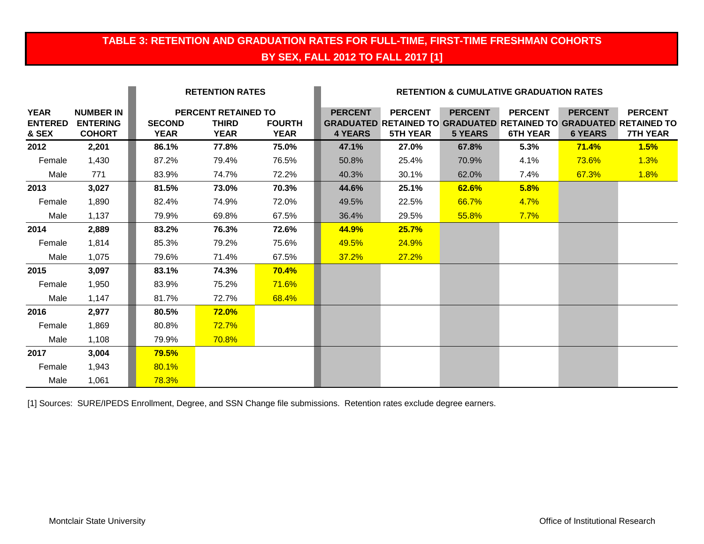# **TABLE 3: RETENTION AND GRADUATION RATES FOR FULL-TIME, FIRST-TIME FRESHMAN COHORTS BY SEX, FALL 2012 TO FALL 2017 [1]**

|                                        |                                                      |                              | <b>RETENTION RATES</b>                                    |                              |                                  |                                   |                                  | <b>RETENTION &amp; CUMULATIVE GRADUATION RATES</b> |                                  |                                                                                                               |
|----------------------------------------|------------------------------------------------------|------------------------------|-----------------------------------------------------------|------------------------------|----------------------------------|-----------------------------------|----------------------------------|----------------------------------------------------|----------------------------------|---------------------------------------------------------------------------------------------------------------|
| <b>YEAR</b><br><b>ENTERED</b><br>& SEX | <b>NUMBER IN</b><br><b>ENTERING</b><br><b>COHORT</b> | <b>SECOND</b><br><b>YEAR</b> | <b>PERCENT RETAINED TO</b><br><b>THIRD</b><br><b>YEAR</b> | <b>FOURTH</b><br><b>YEAR</b> | <b>PERCENT</b><br><b>4 YEARS</b> | <b>PERCENT</b><br><b>5TH YEAR</b> | <b>PERCENT</b><br><b>5 YEARS</b> | <b>PERCENT</b><br><b>6TH YEAR</b>                  | <b>PERCENT</b><br><b>6 YEARS</b> | <b>PERCENT</b><br><b>GRADUATED RETAINED TO GRADUATED RETAINED TO GRADUATED RETAINED TO</b><br><b>7TH YEAR</b> |
| 2012                                   | 2,201                                                | 86.1%                        | 77.8%                                                     | 75.0%                        | 47.1%                            | 27.0%                             | 67.8%                            | 5.3%                                               | 71.4%                            | 1.5%                                                                                                          |
| Female                                 | 1,430                                                | 87.2%                        | 79.4%                                                     | 76.5%                        | 50.8%                            | 25.4%                             | 70.9%                            | 4.1%                                               | 73.6%                            | 1.3%                                                                                                          |
| Male                                   | 771                                                  | 83.9%                        | 74.7%                                                     | 72.2%                        | 40.3%                            | 30.1%                             | 62.0%                            | 7.4%                                               | 67.3%                            | 1.8%                                                                                                          |
| 2013                                   | 3,027                                                | 81.5%                        | 73.0%                                                     | 70.3%                        | 44.6%                            | 25.1%                             | 62.6%                            | 5.8%                                               |                                  |                                                                                                               |
| Female                                 | 1,890                                                | 82.4%                        | 74.9%                                                     | 72.0%                        | 49.5%                            | 22.5%                             | 66.7%                            | 4.7%                                               |                                  |                                                                                                               |
| Male                                   | 1,137                                                | 79.9%                        | 69.8%                                                     | 67.5%                        | 36.4%                            | 29.5%                             | 55.8%                            | 7.7%                                               |                                  |                                                                                                               |
| 2014                                   | 2,889                                                | 83.2%                        | 76.3%                                                     | 72.6%                        | 44.9%                            | 25.7%                             |                                  |                                                    |                                  |                                                                                                               |
| Female                                 | 1,814                                                | 85.3%                        | 79.2%                                                     | 75.6%                        | 49.5%                            | <b>24.9%</b>                      |                                  |                                                    |                                  |                                                                                                               |
| Male                                   | 1,075                                                | 79.6%                        | 71.4%                                                     | 67.5%                        | 37.2%                            | 27.2%                             |                                  |                                                    |                                  |                                                                                                               |
| 2015                                   | 3,097                                                | 83.1%                        | 74.3%                                                     | <b>70.4%</b>                 |                                  |                                   |                                  |                                                    |                                  |                                                                                                               |
| Female                                 | 1,950                                                | 83.9%                        | 75.2%                                                     | <b>71.6%</b>                 |                                  |                                   |                                  |                                                    |                                  |                                                                                                               |
| Male                                   | 1,147                                                | 81.7%                        | 72.7%                                                     | 68.4%                        |                                  |                                   |                                  |                                                    |                                  |                                                                                                               |
| 2016                                   | 2,977                                                | 80.5%                        | 72.0%                                                     |                              |                                  |                                   |                                  |                                                    |                                  |                                                                                                               |
| Female                                 | 1,869                                                | 80.8%                        | 72.7%                                                     |                              |                                  |                                   |                                  |                                                    |                                  |                                                                                                               |
| Male                                   | 1,108                                                | 79.9%                        | <b>70.8%</b>                                              |                              |                                  |                                   |                                  |                                                    |                                  |                                                                                                               |
| 2017                                   | 3,004                                                | 79.5%                        |                                                           |                              |                                  |                                   |                                  |                                                    |                                  |                                                                                                               |
| Female                                 | 1,943                                                | 80.1%                        |                                                           |                              |                                  |                                   |                                  |                                                    |                                  |                                                                                                               |
| Male                                   | 1,061                                                | 78.3%                        |                                                           |                              |                                  |                                   |                                  |                                                    |                                  |                                                                                                               |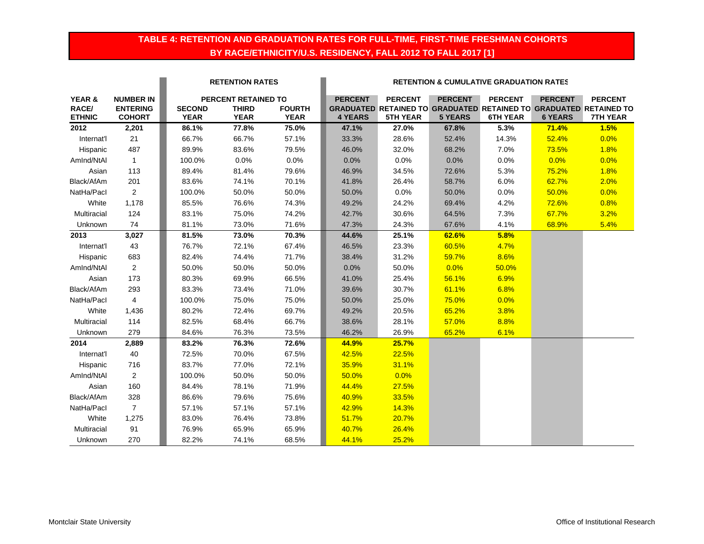## **TABLE 4: RETENTION AND GRADUATION RATES FOR FULL-TIME, FIRST-TIME FRESHMAN COHORTS BY RACE/ETHNICITY/U.S. RESIDENCY, FALL 2012 TO FALL 2017 [1]**

|                        |                                  |                              | <b>RETENTION RATES</b>      |                              | <b>RETENTION &amp; CUMULATIVE GRADUATION RATES</b> |                                                                                             |                |                 |                |                 |
|------------------------|----------------------------------|------------------------------|-----------------------------|------------------------------|----------------------------------------------------|---------------------------------------------------------------------------------------------|----------------|-----------------|----------------|-----------------|
| YEAR &                 | <b>NUMBER IN</b>                 |                              | PERCENT RETAINED TO         |                              | <b>PERCENT</b>                                     | <b>PERCENT</b>                                                                              | <b>PERCENT</b> | <b>PERCENT</b>  | <b>PERCENT</b> | <b>PERCENT</b>  |
| RACE/<br><b>ETHNIC</b> | <b>ENTERING</b><br><b>COHORT</b> | <b>SECOND</b><br><b>YEAR</b> | <b>THIRD</b><br><b>YEAR</b> | <b>FOURTH</b><br><b>YEAR</b> | <b>4 YEARS</b>                                     | <b>GRADUATED RETAINED TO GRADUATED RETAINED TO GRADUATED RETAINED TO</b><br><b>5TH YEAR</b> | <b>5 YEARS</b> | <b>6TH YEAR</b> | <b>6 YEARS</b> | <b>7TH YEAR</b> |
| 2012                   | 2,201                            | 86.1%                        | 77.8%                       | 75.0%                        | 47.1%                                              | 27.0%                                                                                       | 67.8%          | 5.3%            | 71.4%          | 1.5%            |
| Internat'l             | 21                               | 66.7%                        | 66.7%                       | 57.1%                        | 33.3%                                              | 28.6%                                                                                       | 52.4%          | 14.3%           | 52.4%          | 0.0%            |
| Hispanic               | 487                              | 89.9%                        | 83.6%                       | 79.5%                        | 46.0%                                              | 32.0%                                                                                       | 68.2%          | 7.0%            | 73.5%          | 1.8%            |
| AmInd/NtAl             | $\mathbf{1}$                     | 100.0%                       | 0.0%                        | 0.0%                         | 0.0%                                               | 0.0%                                                                                        | 0.0%           | 0.0%            | 0.0%           | 0.0%            |
| Asian                  | 113                              | 89.4%                        | 81.4%                       | 79.6%                        | 46.9%                                              | 34.5%                                                                                       | 72.6%          | 5.3%            | 75.2%          | 1.8%            |
| Black/AfAm             | 201                              | 83.6%                        | 74.1%                       | 70.1%                        | 41.8%                                              | 26.4%                                                                                       | 58.7%          | 6.0%            | 62.7%          | 2.0%            |
| NatHa/Pacl             | $\overline{2}$                   | 100.0%                       | 50.0%                       | 50.0%                        | 50.0%                                              | $0.0\%$                                                                                     | 50.0%          | 0.0%            | 50.0%          | 0.0%            |
| White                  | 1,178                            | 85.5%                        | 76.6%                       | 74.3%                        | 49.2%                                              | 24.2%                                                                                       | 69.4%          | 4.2%            | 72.6%          | 0.8%            |
| Multiracial            | 124                              | 83.1%                        | 75.0%                       | 74.2%                        | 42.7%                                              | 30.6%                                                                                       | 64.5%          | 7.3%            | 67.7%          | 3.2%            |
| Unknown                | 74                               | 81.1%                        | 73.0%                       | 71.6%                        | 47.3%                                              | 24.3%                                                                                       | 67.6%          | 4.1%            | 68.9%          | 5.4%            |
| 2013                   | 3,027                            | 81.5%                        | 73.0%                       | 70.3%                        | 44.6%                                              | 25.1%                                                                                       | 62.6%          | 5.8%            |                |                 |
| Internat'l             | 43                               | 76.7%                        | 72.1%                       | 67.4%                        | 46.5%                                              | 23.3%                                                                                       | 60.5%          | 4.7%            |                |                 |
| Hispanic               | 683                              | 82.4%                        | 74.4%                       | 71.7%                        | 38.4%                                              | 31.2%                                                                                       | 59.7%          | 8.6%            |                |                 |
| AmInd/NtAl             | $\overline{2}$                   | 50.0%                        | 50.0%                       | 50.0%                        | 0.0%                                               | 50.0%                                                                                       | 0.0%           | 50.0%           |                |                 |
| Asian                  | 173                              | 80.3%                        | 69.9%                       | 66.5%                        | 41.0%                                              | 25.4%                                                                                       | 56.1%          | 6.9%            |                |                 |
| Black/AfAm             | 293                              | 83.3%                        | 73.4%                       | 71.0%                        | 39.6%                                              | 30.7%                                                                                       | 61.1%          | 6.8%            |                |                 |
| NatHa/Pacl             | 4                                | 100.0%                       | 75.0%                       | 75.0%                        | 50.0%                                              | 25.0%                                                                                       | 75.0%          | 0.0%            |                |                 |
| White                  | 1,436                            | 80.2%                        | 72.4%                       | 69.7%                        | 49.2%                                              | 20.5%                                                                                       | 65.2%          | 3.8%            |                |                 |
| Multiracial            | 114                              | 82.5%                        | 68.4%                       | 66.7%                        | 38.6%                                              | 28.1%                                                                                       | 57.0%          | 8.8%            |                |                 |
| Unknown                | 279                              | 84.6%                        | 76.3%                       | 73.5%                        | 46.2%                                              | 26.9%                                                                                       | 65.2%          | 6.1%            |                |                 |
| 2014                   | 2,889                            | 83.2%                        | 76.3%                       | 72.6%                        | 44.9%                                              | 25.7%                                                                                       |                |                 |                |                 |
| Internat'l             | 40                               | 72.5%                        | 70.0%                       | 67.5%                        | 42.5%                                              | 22.5%                                                                                       |                |                 |                |                 |
| Hispanic               | 716                              | 83.7%                        | 77.0%                       | 72.1%                        | 35.9%                                              | 31.1%                                                                                       |                |                 |                |                 |
| AmInd/NtAl             | $\overline{2}$                   | 100.0%                       | 50.0%                       | 50.0%                        | 50.0%                                              | 0.0%                                                                                        |                |                 |                |                 |
| Asian                  | 160                              | 84.4%                        | 78.1%                       | 71.9%                        | 44.4%                                              | 27.5%                                                                                       |                |                 |                |                 |
| Black/AfAm             | 328                              | 86.6%                        | 79.6%                       | 75.6%                        | 40.9%                                              | 33.5%                                                                                       |                |                 |                |                 |
| NatHa/Pacl             | $\overline{7}$                   | 57.1%                        | 57.1%                       | 57.1%                        | 42.9%                                              | 14.3%                                                                                       |                |                 |                |                 |
| White                  | 1,275                            | 83.0%                        | 76.4%                       | 73.8%                        | 51.7%                                              | 20.7%                                                                                       |                |                 |                |                 |
| Multiracial            | 91                               | 76.9%                        | 65.9%                       | 65.9%                        | 40.7%                                              | 26.4%                                                                                       |                |                 |                |                 |
| Unknown                | 270                              | 82.2%                        | 74.1%                       | 68.5%                        | 44.1%                                              | 25.2%                                                                                       |                |                 |                |                 |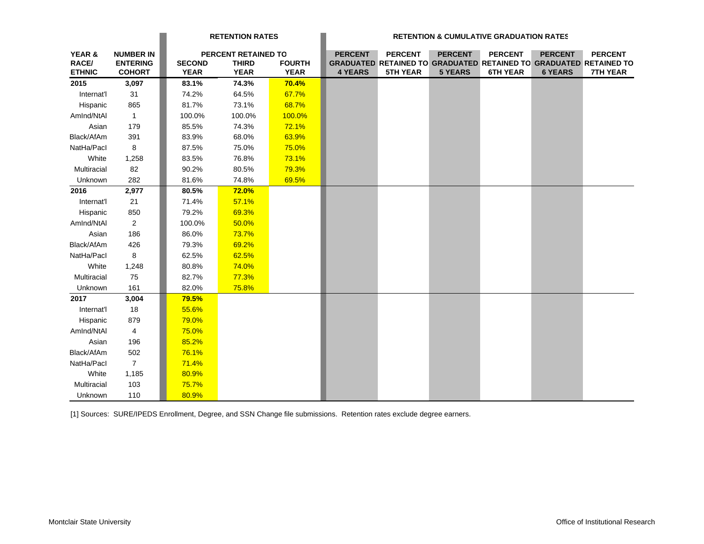|                   |                  |               | <b>RETENTION RATES</b> |               |                |                                                                   | <b>RETENTION &amp; CUMULATIVE GRADUATION RATES</b> |                 |                |                 |
|-------------------|------------------|---------------|------------------------|---------------|----------------|-------------------------------------------------------------------|----------------------------------------------------|-----------------|----------------|-----------------|
| <b>YEAR &amp;</b> | <b>NUMBER IN</b> |               | PERCENT RETAINED TO    |               | <b>PERCENT</b> | <b>PERCENT</b>                                                    | <b>PERCENT</b>                                     | <b>PERCENT</b>  | <b>PERCENT</b> | <b>PERCENT</b>  |
| RACE/             | <b>ENTERING</b>  | <b>SECOND</b> | <b>THIRD</b>           | <b>FOURTH</b> |                | GRADUATED RETAINED TO GRADUATED RETAINED TO GRADUATED RETAINED TO |                                                    |                 |                |                 |
| <b>ETHNIC</b>     | <b>COHORT</b>    | <b>YEAR</b>   | <b>YEAR</b>            | <b>YEAR</b>   | <b>4 YEARS</b> | <b>5TH YEAR</b>                                                   | <b>5 YEARS</b>                                     | <b>6TH YEAR</b> | <b>6 YEARS</b> | <b>7TH YEAR</b> |
| 2015              | 3,097            | 83.1%         | 74.3%                  | 70.4%         |                |                                                                   |                                                    |                 |                |                 |
| Internat'l        | 31               | 74.2%         | 64.5%                  | 67.7%         |                |                                                                   |                                                    |                 |                |                 |
| Hispanic          | 865              | 81.7%         | 73.1%                  | 68.7%         |                |                                                                   |                                                    |                 |                |                 |
| AmInd/NtAl        | $\overline{1}$   | 100.0%        | 100.0%                 | 100.0%        |                |                                                                   |                                                    |                 |                |                 |
| Asian             | 179              | 85.5%         | 74.3%                  | 72.1%         |                |                                                                   |                                                    |                 |                |                 |
| Black/AfAm        | 391              | 83.9%         | 68.0%                  | 63.9%         |                |                                                                   |                                                    |                 |                |                 |
| NatHa/Pacl        | 8                | 87.5%         | 75.0%                  | 75.0%         |                |                                                                   |                                                    |                 |                |                 |
| White             | 1,258            | 83.5%         | 76.8%                  | 73.1%         |                |                                                                   |                                                    |                 |                |                 |
| Multiracial       | 82               | 90.2%         | 80.5%                  | 79.3%         |                |                                                                   |                                                    |                 |                |                 |
| Unknown           | 282              | 81.6%         | 74.8%                  | 69.5%         |                |                                                                   |                                                    |                 |                |                 |
| 2016              | 2,977            | 80.5%         | <b>72.0%</b>           |               |                |                                                                   |                                                    |                 |                |                 |
| Internat'l        | 21               | 71.4%         | 57.1%                  |               |                |                                                                   |                                                    |                 |                |                 |
| Hispanic          | 850              | 79.2%         | 69.3%                  |               |                |                                                                   |                                                    |                 |                |                 |
| AmInd/NtAI        | $\overline{2}$   | 100.0%        | 50.0%                  |               |                |                                                                   |                                                    |                 |                |                 |
| Asian             | 186              | 86.0%         | 73.7%                  |               |                |                                                                   |                                                    |                 |                |                 |
| Black/AfAm        | 426              | 79.3%         | 69.2%                  |               |                |                                                                   |                                                    |                 |                |                 |
| NatHa/Pacl        | 8                | 62.5%         | 62.5%                  |               |                |                                                                   |                                                    |                 |                |                 |
| White             | 1,248            | 80.8%         | 74.0%                  |               |                |                                                                   |                                                    |                 |                |                 |
| Multiracial       | 75               | 82.7%         | 77.3%                  |               |                |                                                                   |                                                    |                 |                |                 |
| Unknown           | 161              | 82.0%         | 75.8%                  |               |                |                                                                   |                                                    |                 |                |                 |
| 2017              | 3,004            | 79.5%         |                        |               |                |                                                                   |                                                    |                 |                |                 |
| Internat'l        | 18               | 55.6%         |                        |               |                |                                                                   |                                                    |                 |                |                 |
| Hispanic          | 879              | 79.0%         |                        |               |                |                                                                   |                                                    |                 |                |                 |
| AmInd/NtAl        | $\overline{4}$   | 75.0%         |                        |               |                |                                                                   |                                                    |                 |                |                 |
| Asian             | 196              | 85.2%         |                        |               |                |                                                                   |                                                    |                 |                |                 |
| Black/AfAm        | 502              | 76.1%         |                        |               |                |                                                                   |                                                    |                 |                |                 |
| NatHa/Pacl        | $\overline{7}$   | 71.4%         |                        |               |                |                                                                   |                                                    |                 |                |                 |
| White             | 1,185            | 80.9%         |                        |               |                |                                                                   |                                                    |                 |                |                 |
| Multiracial       | 103              | 75.7%         |                        |               |                |                                                                   |                                                    |                 |                |                 |
| Unknown           | 110              | 80.9%         |                        |               |                |                                                                   |                                                    |                 |                |                 |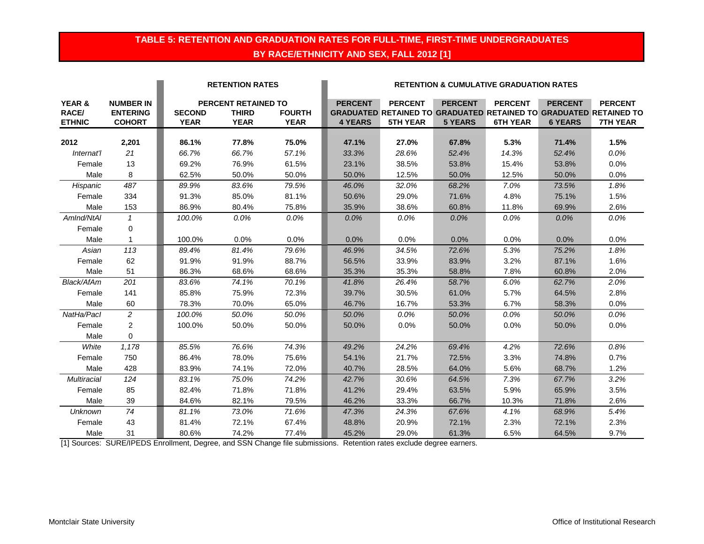## **TABLE 5: RETENTION AND GRADUATION RATES FOR FULL-TIME, FIRST-TIME UNDERGRADUATES BY RACE/ETHNICITY AND SEX, FALL 2012 [1]**

|                                             |                                                      |                              | <b>RETENTION RATES</b>                             |                              |                                  |                                                                                                               |                                  | <b>RETENTION &amp; CUMULATIVE GRADUATION RATES</b> |                                  |                            |
|---------------------------------------------|------------------------------------------------------|------------------------------|----------------------------------------------------|------------------------------|----------------------------------|---------------------------------------------------------------------------------------------------------------|----------------------------------|----------------------------------------------------|----------------------------------|----------------------------|
| <b>YEAR &amp;</b><br>RACE/<br><b>ETHNIC</b> | <b>NUMBER IN</b><br><b>ENTERING</b><br><b>COHORT</b> | <b>SECOND</b><br><b>YEAR</b> | PERCENT RETAINED TO<br><b>THIRD</b><br><b>YEAR</b> | <b>FOURTH</b><br><b>YEAR</b> | <b>PERCENT</b><br><b>4 YEARS</b> | <b>PERCENT</b><br><b>GRADUATED RETAINED TO GRADUATED RETAINED TO GRADUATED RETAINED TO</b><br><b>5TH YEAR</b> | <b>PERCENT</b><br><b>5 YEARS</b> | <b>PERCENT</b><br><b>6TH YEAR</b>                  | <b>PERCENT</b><br><b>6 YEARS</b> | <b>PERCENT</b><br>7TH YEAR |
| 2012                                        |                                                      |                              |                                                    |                              |                                  |                                                                                                               |                                  |                                                    | 71.4%                            |                            |
| Internat'l                                  | 2,201<br>21                                          | 86.1%<br>66.7%               | 77.8%<br>66.7%                                     | 75.0%<br>57.1%               | 47.1%<br>33.3%                   | 27.0%<br>28.6%                                                                                                | 67.8%<br>52.4%                   | 5.3%<br>14.3%                                      | 52.4%                            | 1.5%<br>0.0%               |
| Female                                      | 13                                                   | 69.2%                        |                                                    |                              |                                  |                                                                                                               | 53.8%                            |                                                    |                                  |                            |
| Male                                        | 8                                                    | 62.5%                        | 76.9%<br>50.0%                                     | 61.5%<br>50.0%               | 23.1%<br>50.0%                   | 38.5%<br>12.5%                                                                                                | 50.0%                            | 15.4%<br>12.5%                                     | 53.8%<br>50.0%                   | 0.0%<br>0.0%               |
|                                             |                                                      |                              |                                                    |                              |                                  |                                                                                                               |                                  |                                                    |                                  |                            |
| Hispanic                                    | 487                                                  | 89.9%                        | 83.6%                                              | 79.5%                        | 46.0%                            | 32.0%                                                                                                         | 68.2%                            | 7.0%                                               | 73.5%                            | 1.8%                       |
| Female                                      | 334                                                  | 91.3%                        | 85.0%                                              | 81.1%                        | 50.6%                            | 29.0%                                                                                                         | 71.6%                            | 4.8%                                               | 75.1%                            | 1.5%                       |
| Male                                        | 153                                                  | 86.9%                        | 80.4%                                              | 75.8%                        | 35.9%                            | 38.6%                                                                                                         | 60.8%                            | 11.8%                                              | 69.9%                            | 2.6%                       |
| AmInd/NtAI                                  | $\mathbf{1}$                                         | 100.0%                       | $0.0\%$                                            | 0.0%                         | 0.0%                             | 0.0%                                                                                                          | 0.0%                             | $0.0\%$                                            | 0.0%                             | 0.0%                       |
| Female                                      | 0                                                    |                              |                                                    |                              |                                  |                                                                                                               |                                  |                                                    |                                  |                            |
| Male                                        | $\mathbf{1}$                                         | 100.0%                       | 0.0%                                               | 0.0%                         | 0.0%                             | 0.0%                                                                                                          | 0.0%                             | 0.0%                                               | 0.0%                             | 0.0%                       |
| Asian                                       | 113                                                  | 89.4%                        | 81.4%                                              | 79.6%                        | 46.9%                            | 34.5%                                                                                                         | 72.6%                            | 5.3%                                               | 75.2%                            | 1.8%                       |
| Female                                      | 62                                                   | 91.9%                        | 91.9%                                              | 88.7%                        | 56.5%                            | 33.9%                                                                                                         | 83.9%                            | 3.2%                                               | 87.1%                            | 1.6%                       |
| Male                                        | 51                                                   | 86.3%                        | 68.6%                                              | 68.6%                        | 35.3%                            | 35.3%                                                                                                         | 58.8%                            | 7.8%                                               | 60.8%                            | 2.0%                       |
| Black/AfAm                                  | 201                                                  | 83.6%                        | 74.1%                                              | 70.1%                        | 41.8%                            | 26.4%                                                                                                         | 58.7%                            | 6.0%                                               | 62.7%                            | 2.0%                       |
| Female                                      | 141                                                  | 85.8%                        | 75.9%                                              | 72.3%                        | 39.7%                            | 30.5%                                                                                                         | 61.0%                            | 5.7%                                               | 64.5%                            | 2.8%                       |
| Male                                        | 60                                                   | 78.3%                        | 70.0%                                              | 65.0%                        | 46.7%                            | 16.7%                                                                                                         | 53.3%                            | 6.7%                                               | 58.3%                            | 0.0%                       |
| NatHa/Pacl                                  | $\overline{2}$                                       | 100.0%                       | 50.0%                                              | 50.0%                        | 50.0%                            | 0.0%                                                                                                          | 50.0%                            | $0.0\%$                                            | 50.0%                            | 0.0%                       |
| Female                                      | 2                                                    | 100.0%                       | 50.0%                                              | 50.0%                        | 50.0%                            | 0.0%                                                                                                          | 50.0%                            | 0.0%                                               | 50.0%                            | 0.0%                       |
| Male                                        | $\mathbf 0$                                          |                              |                                                    |                              |                                  |                                                                                                               |                                  |                                                    |                                  |                            |
| White                                       | 1,178                                                | 85.5%                        | 76.6%                                              | 74.3%                        | 49.2%                            | 24.2%                                                                                                         | 69.4%                            | 4.2%                                               | 72.6%                            | 0.8%                       |
| Female                                      | 750                                                  | 86.4%                        | 78.0%                                              | 75.6%                        | 54.1%                            | 21.7%                                                                                                         | 72.5%                            | 3.3%                                               | 74.8%                            | 0.7%                       |
| Male                                        | 428                                                  | 83.9%                        | 74.1%                                              | 72.0%                        | 40.7%                            | 28.5%                                                                                                         | 64.0%                            | 5.6%                                               | 68.7%                            | 1.2%                       |
| <b>Multiracial</b>                          | 124                                                  | 83.1%                        | 75.0%                                              | 74.2%                        | 42.7%                            | 30.6%                                                                                                         | 64.5%                            | 7.3%                                               | 67.7%                            | 3.2%                       |
| Female                                      | 85                                                   | 82.4%                        | 71.8%                                              | 71.8%                        | 41.2%                            | 29.4%                                                                                                         | 63.5%                            | 5.9%                                               | 65.9%                            | 3.5%                       |
| Male                                        | 39                                                   | 84.6%                        | 82.1%                                              | 79.5%                        | 46.2%                            | 33.3%                                                                                                         | 66.7%                            | 10.3%                                              | 71.8%                            | 2.6%                       |
| Unknown                                     | 74                                                   | 81.1%                        | 73.0%                                              | 71.6%                        | 47.3%                            | 24.3%                                                                                                         | 67.6%                            | 4.1%                                               | 68.9%                            | 5.4%                       |
| Female                                      | 43                                                   | 81.4%                        | 72.1%                                              | 67.4%                        | 48.8%                            | 20.9%                                                                                                         | 72.1%                            | 2.3%                                               | 72.1%                            | 2.3%                       |
| Male                                        | 31                                                   | 80.6%                        | 74.2%                                              | 77.4%                        | 45.2%                            | 29.0%                                                                                                         | 61.3%                            | 6.5%                                               | 64.5%                            | 9.7%                       |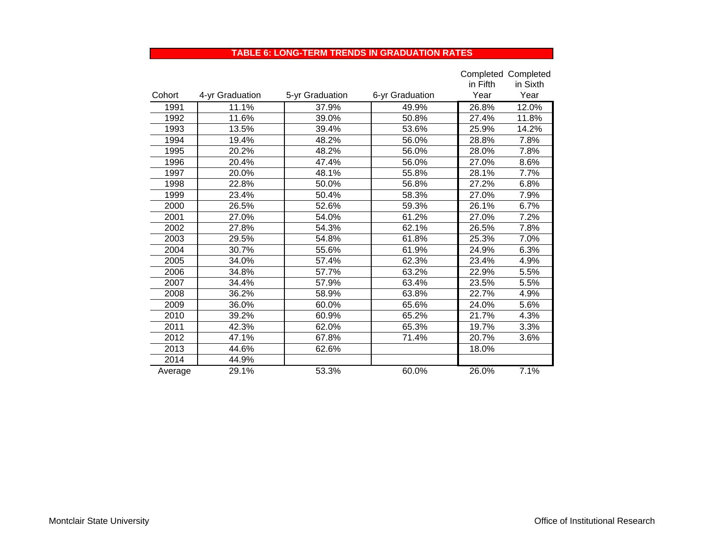### **TABLE 6: LONG-TERM TRENDS IN GRADUATION RATES**

|         |                 |                 |                 |          | <b>Completed Completed</b> |
|---------|-----------------|-----------------|-----------------|----------|----------------------------|
|         |                 |                 |                 | in Fifth | in Sixth                   |
| Cohort  | 4-yr Graduation | 5-yr Graduation | 6-yr Graduation | Year     | Year                       |
| 1991    | 11.1%           | 37.9%           | 49.9%           | 26.8%    | 12.0%                      |
| 1992    | 11.6%           | 39.0%           | 50.8%           | 27.4%    | 11.8%                      |
| 1993    | 13.5%           | 39.4%           | 53.6%           | 25.9%    | 14.2%                      |
| 1994    | 19.4%           | 48.2%           | 56.0%           | 28.8%    | 7.8%                       |
| 1995    | 20.2%           | 48.2%           | 56.0%           | 28.0%    | 7.8%                       |
| 1996    | 20.4%           | 47.4%           | 56.0%           | 27.0%    | 8.6%                       |
| 1997    | 20.0%           | 48.1%           | 55.8%           | 28.1%    | 7.7%                       |
| 1998    | 22.8%           | 50.0%           | 56.8%           | 27.2%    | 6.8%                       |
| 1999    | 23.4%           | 50.4%           | 58.3%           | 27.0%    | 7.9%                       |
| 2000    | 26.5%           | 52.6%           | 59.3%           | 26.1%    | 6.7%                       |
| 2001    | 27.0%           | 54.0%           | 61.2%           | 27.0%    | 7.2%                       |
| 2002    | 27.8%           | 54.3%           | 62.1%           | 26.5%    | 7.8%                       |
| 2003    | 29.5%           | 54.8%           | 61.8%           | 25.3%    | 7.0%                       |
| 2004    | 30.7%           | 55.6%           | 61.9%           | 24.9%    | 6.3%                       |
| 2005    | 34.0%           | 57.4%           | 62.3%           | 23.4%    | 4.9%                       |
| 2006    | 34.8%           | 57.7%           | 63.2%           | 22.9%    | 5.5%                       |
| 2007    | 34.4%           | 57.9%           | 63.4%           | 23.5%    | 5.5%                       |
| 2008    | 36.2%           | 58.9%           | 63.8%           | 22.7%    | 4.9%                       |
| 2009    | 36.0%           | 60.0%           | 65.6%           | 24.0%    | 5.6%                       |
| 2010    | 39.2%           | 60.9%           | 65.2%           | 21.7%    | 4.3%                       |
| 2011    | 42.3%           | 62.0%           | 65.3%           | 19.7%    | 3.3%                       |
| 2012    | 47.1%           | 67.8%           | 71.4%           | 20.7%    | 3.6%                       |
| 2013    | 44.6%           | 62.6%           |                 | 18.0%    |                            |
| 2014    | 44.9%           |                 |                 |          |                            |
| Average | 29.1%           | 53.3%           | 60.0%           | 26.0%    | 7.1%                       |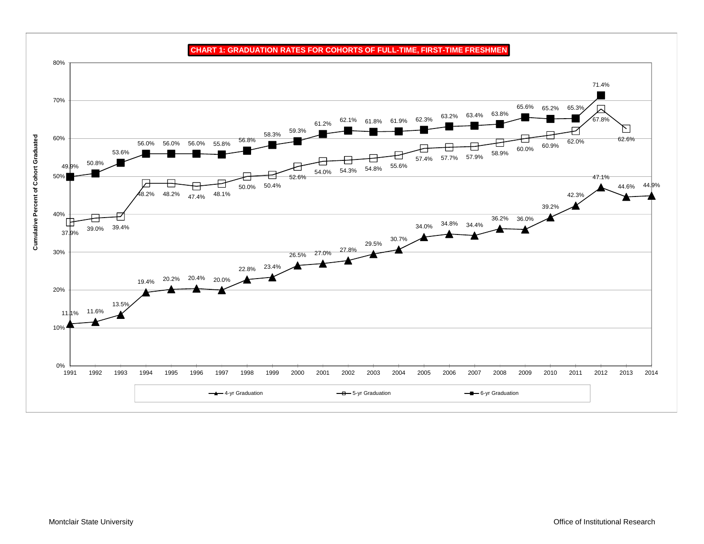**CHART 1: GRADUATION RATES FOR COHORTS OF FULL-TIME, FIRST-TIME FRESHMEN** 80%71.4%70% 65.3% 65.6% 65.2% $62.1\%$   $61.8\%$   $61.9\%$   $62.3\%$   $63.2\%$   $63.4\%$   $63.8\%$ 67.8%61.2%N 59.3% 58.3%**Cumulative Percent of Cohort Graduated** 60%**Cumulative Percent of Cohort Graduated** 56.8% 62.6% $\overline{57.7\%}$  57.9% 58.9% 60.0% 60.9% 62.0% 56.0% 56.0% 56.0% 55.8%53.6%57.4% 50.8%  $\overline{54.3\%}$  54.8% 55.6% 49.9%54.0%50%52.6%47.1%<del>A</del> 50.4% 44.9% 50.0%44.6%48.2% 48.2% 48.1% 47.4%42.3%39.2%40% 36.2% 36.0% 34.8% 34.4% 39.0% 39.4% 34.0%37.9%29.5% 30.7% 26.5% 27.0% 27.8% 30% 22.8% 23.4% 20.2% 20.4% 20.0% 19.4%20%13.5% 11.6% 11.1%10%0%2014 1991 1992 1993 1994 1995 1996 1997 1998 1999 2000 2001 2002 2003 2004 2005 2006 2007 2008 2009 2010 2011 2012 2013 2014→▲→4-yr Graduation 6-yr Graduation 5-yr Graduation 5-yr Graduation 6-yr Graduation 6-yr Graduation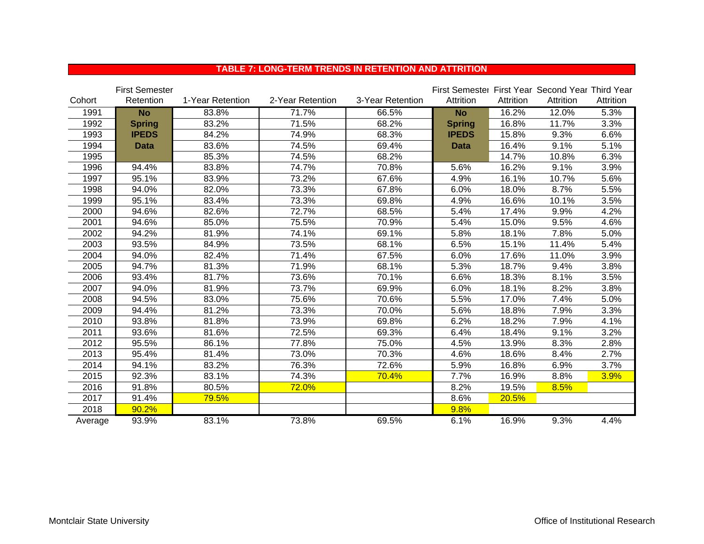|         | <b>First Semester</b> |                  |                  |                  | First Semester First Year Second Year Third Year |           |           |           |
|---------|-----------------------|------------------|------------------|------------------|--------------------------------------------------|-----------|-----------|-----------|
| Cohort  | Retention             | 1-Year Retention | 2-Year Retention | 3-Year Retention | Attrition                                        | Attrition | Attrition | Attrition |
| 1991    | <b>No</b>             | 83.8%            | 71.7%            | 66.5%            | <b>No</b>                                        | 16.2%     | 12.0%     | 5.3%      |
| 1992    | <b>Spring</b>         | 83.2%            | 71.5%            | 68.2%            | <b>Spring</b>                                    | 16.8%     | 11.7%     | 3.3%      |
| 1993    | <b>IPEDS</b>          | 84.2%            | 74.9%            | 68.3%            | <b>IPEDS</b>                                     | 15.8%     | 9.3%      | 6.6%      |
| 1994    | <b>Data</b>           | 83.6%            | 74.5%            | 69.4%            | <b>Data</b>                                      | 16.4%     | 9.1%      | 5.1%      |
| 1995    |                       | 85.3%            | 74.5%            | 68.2%            |                                                  | 14.7%     | 10.8%     | 6.3%      |
| 1996    | 94.4%                 | 83.8%            | 74.7%            | 70.8%            | 5.6%                                             | 16.2%     | 9.1%      | 3.9%      |
| 1997    | 95.1%                 | 83.9%            | 73.2%            | 67.6%            | 4.9%                                             | 16.1%     | 10.7%     | 5.6%      |
| 1998    | 94.0%                 | 82.0%            | 73.3%            | 67.8%            | 6.0%                                             | 18.0%     | 8.7%      | 5.5%      |
| 1999    | 95.1%                 | 83.4%            | 73.3%            | 69.8%            | 4.9%                                             | 16.6%     | 10.1%     | 3.5%      |
| 2000    | 94.6%                 | 82.6%            | 72.7%            | 68.5%            | 5.4%                                             | 17.4%     | 9.9%      | 4.2%      |
| 2001    | 94.6%                 | 85.0%            | 75.5%            | 70.9%            | 5.4%                                             | 15.0%     | 9.5%      | 4.6%      |
| 2002    | 94.2%                 | 81.9%            | 74.1%            | 69.1%            | 5.8%                                             | 18.1%     | 7.8%      | 5.0%      |
| 2003    | 93.5%                 | 84.9%            | 73.5%            | 68.1%            | 6.5%                                             | 15.1%     | 11.4%     | 5.4%      |
| 2004    | 94.0%                 | 82.4%            | 71.4%            | 67.5%            | 6.0%                                             | 17.6%     | 11.0%     | 3.9%      |
| 2005    | 94.7%                 | 81.3%            | 71.9%            | 68.1%            | 5.3%                                             | 18.7%     | 9.4%      | 3.8%      |
| 2006    | 93.4%                 | 81.7%            | 73.6%            | 70.1%            | 6.6%                                             | 18.3%     | 8.1%      | 3.5%      |
| 2007    | 94.0%                 | 81.9%            | 73.7%            | 69.9%            | 6.0%                                             | 18.1%     | 8.2%      | 3.8%      |
| 2008    | 94.5%                 | 83.0%            | 75.6%            | 70.6%            | 5.5%                                             | 17.0%     | 7.4%      | 5.0%      |
| 2009    | 94.4%                 | 81.2%            | 73.3%            | 70.0%            | 5.6%                                             | 18.8%     | 7.9%      | 3.3%      |
| 2010    | 93.8%                 | 81.8%            | 73.9%            | 69.8%            | 6.2%                                             | 18.2%     | 7.9%      | 4.1%      |
| 2011    | 93.6%                 | 81.6%            | 72.5%            | 69.3%            | 6.4%                                             | 18.4%     | 9.1%      | 3.2%      |
| 2012    | 95.5%                 | 86.1%            | 77.8%            | 75.0%            | 4.5%                                             | 13.9%     | 8.3%      | 2.8%      |
| 2013    | 95.4%                 | 81.4%            | 73.0%            | 70.3%            | 4.6%                                             | 18.6%     | 8.4%      | 2.7%      |
| 2014    | 94.1%                 | 83.2%            | 76.3%            | 72.6%            | 5.9%                                             | 16.8%     | 6.9%      | 3.7%      |
| 2015    | 92.3%                 | 83.1%            | 74.3%            | 70.4%            | 7.7%                                             | 16.9%     | 8.8%      | 3.9%      |
| 2016    | 91.8%                 | 80.5%            | 72.0%            |                  | 8.2%                                             | 19.5%     | 8.5%      |           |
| 2017    | 91.4%                 | 79.5%            |                  |                  | 8.6%                                             | 20.5%     |           |           |
| 2018    | 90.2%                 |                  |                  |                  | 9.8%                                             |           |           |           |
| Average | 93.9%                 | 83.1%            | 73.8%            | 69.5%            | 6.1%                                             | 16.9%     | 9.3%      | 4.4%      |

## **TABLE 7: LONG-TERM TRENDS IN RETENTION AND ATTRITION**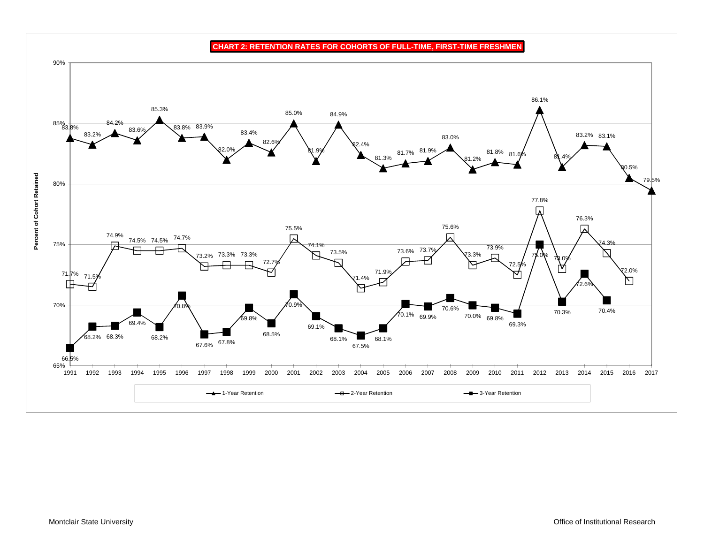90%86.1%85.3%85.0%84.9% $85\%_{3.8\%}$ 84.2% 83.8% 83.9% 83.6%83.4%83.2%83.0%83.2% 83.1% 82.6%82.4% 81.9% 82.0%81.8%81.9%81.7%81. 81.3%81.4%81.2% $0.5%$ **Percent of Cohort Retained Percent of Cohort Retained** 79.5%80%77.8% ╔ 76.3%75.6%75.5%74.9% "⊵ 74.5% 74.5% 74.7%  $1.3%$ 75%74.1%73.9%73.6% 73.7% 73.5%73.3%73.2% 73.3% 73.3% 75.0%73.0%72. 72.5%72.0%71.9%71.  $\frac{71.5%}{6}$ 71.4%⇱ 72.6%70%70.9%70.8%70.6%70.4%70.3%70.1% 69.9%70.0% 69.8% 69.8%69.4%69.3%69.1%68.5%68.2%68.2% 68.3% 68.1%68.1%67.6% <sup>67.8%</sup> 67.5%66.5%65%1991 1992 1993 1994 1995 1996 1997 1998 1999 2000 2001 2002 2003 2004 2005 2006 2007 2008 2009 2010 2011 2012 2013 2014 2015 2016 2017 **1-Year Retention** - <del>B</del> 2-Year Retention 3-Year Retention

**CHART 2: RETENTION RATES FOR COHORTS OF FULL-TIME, FIRST-TIME FRESHMEN**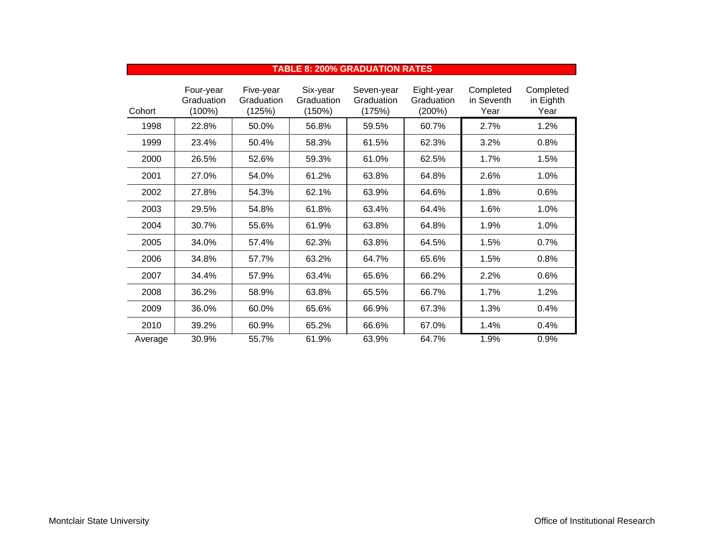|         |                                      |                                   |                                  | <b>TABLE 8: 200% GRADUATION RATES</b> |                                    |                                 |                                |
|---------|--------------------------------------|-----------------------------------|----------------------------------|---------------------------------------|------------------------------------|---------------------------------|--------------------------------|
| Cohort  | Four-year<br>Graduation<br>$(100\%)$ | Five-year<br>Graduation<br>(125%) | Six-year<br>Graduation<br>(150%) | Seven-year<br>Graduation<br>(175%)    | Eight-year<br>Graduation<br>(200%) | Completed<br>in Seventh<br>Year | Completed<br>in Eighth<br>Year |
| 1998    | 22.8%                                | 50.0%                             | 56.8%                            | 59.5%                                 | 60.7%                              | 2.7%                            | 1.2%                           |
| 1999    | 23.4%                                | 50.4%                             | 58.3%                            | 61.5%                                 | 62.3%                              | 3.2%                            | 0.8%                           |
| 2000    | 26.5%                                | 52.6%                             | 59.3%                            | 61.0%                                 | 62.5%                              | 1.7%                            | 1.5%                           |
| 2001    | 27.0%                                | 54.0%                             | 61.2%                            | 63.8%                                 | 64.8%                              | 2.6%                            | 1.0%                           |
| 2002    | 27.8%                                | 54.3%                             | 62.1%                            | 63.9%                                 | 64.6%                              | 1.8%                            | 0.6%                           |
| 2003    | 29.5%                                | 54.8%                             | 61.8%                            | 63.4%                                 | 64.4%                              | 1.6%                            | 1.0%                           |
| 2004    | 30.7%                                | 55.6%                             | 61.9%                            | 63.8%                                 | 64.8%                              | 1.9%                            | 1.0%                           |
| 2005    | 34.0%                                | 57.4%                             | 62.3%                            | 63.8%                                 | 64.5%                              | 1.5%                            | 0.7%                           |
| 2006    | 34.8%                                | 57.7%                             | 63.2%                            | 64.7%                                 | 65.6%                              | 1.5%                            | 0.8%                           |
| 2007    | 34.4%                                | 57.9%                             | 63.4%                            | 65.6%                                 | 66.2%                              | 2.2%                            | 0.6%                           |
| 2008    | 36.2%                                | 58.9%                             | 63.8%                            | 65.5%                                 | 66.7%                              | 1.7%                            | 1.2%                           |
| 2009    | 36.0%                                | 60.0%                             | 65.6%                            | 66.9%                                 | 67.3%                              | 1.3%                            | 0.4%                           |
| 2010    | 39.2%                                | 60.9%                             | 65.2%                            | 66.6%                                 | 67.0%                              | 1.4%                            | 0.4%                           |
| Average | 30.9%                                | 55.7%                             | 61.9%                            | 63.9%                                 | 64.7%                              | 1.9%                            | 0.9%                           |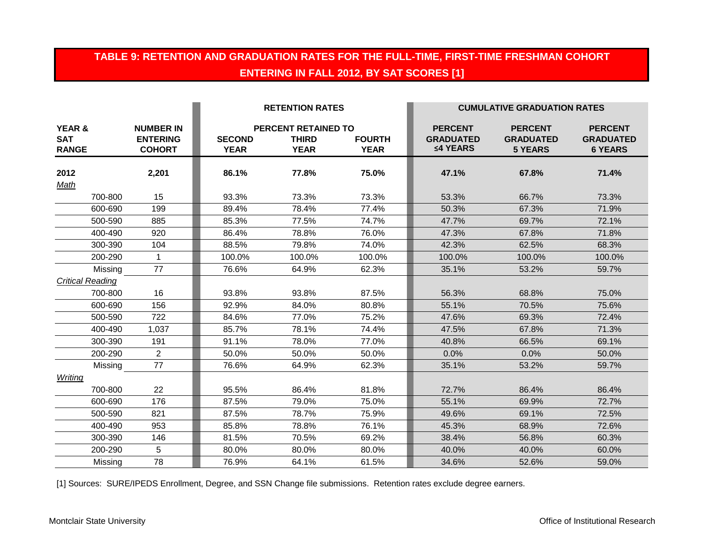## **TABLE 9: RETENTION AND GRADUATION RATES FOR THE FULL-TIME, FIRST-TIME FRESHMAN COHORT ENTERING IN FALL 2012, BY SAT SCORES [1]**

|                                                 |                                                      |                              | <b>RETENTION RATES</b>                             |                              |                                                | <b>CUMULATIVE GRADUATION RATES</b>                   |                                                      |
|-------------------------------------------------|------------------------------------------------------|------------------------------|----------------------------------------------------|------------------------------|------------------------------------------------|------------------------------------------------------|------------------------------------------------------|
| <b>YEAR &amp;</b><br><b>SAT</b><br><b>RANGE</b> | <b>NUMBER IN</b><br><b>ENTERING</b><br><b>COHORT</b> | <b>SECOND</b><br><b>YEAR</b> | PERCENT RETAINED TO<br><b>THIRD</b><br><b>YEAR</b> | <b>FOURTH</b><br><b>YEAR</b> | <b>PERCENT</b><br><b>GRADUATED</b><br>≤4 YEARS | <b>PERCENT</b><br><b>GRADUATED</b><br><b>5 YEARS</b> | <b>PERCENT</b><br><b>GRADUATED</b><br><b>6 YEARS</b> |
| 2012                                            | 2,201                                                | 86.1%                        | 77.8%                                              | 75.0%                        | 47.1%                                          | 67.8%                                                | 71.4%                                                |
| Math                                            |                                                      |                              |                                                    |                              |                                                |                                                      |                                                      |
| 700-800                                         | 15                                                   | 93.3%                        | 73.3%                                              | 73.3%                        | 53.3%                                          | 66.7%                                                | 73.3%                                                |
| 600-690                                         | 199                                                  | 89.4%                        | 78.4%                                              | 77.4%                        | 50.3%                                          | 67.3%                                                | 71.9%                                                |
| 500-590                                         | 885                                                  | 85.3%                        | 77.5%                                              | 74.7%                        | 47.7%                                          | 69.7%                                                | 72.1%                                                |
| 400-490                                         | 920                                                  | 86.4%                        | 78.8%                                              | 76.0%                        | 47.3%                                          | 67.8%                                                | 71.8%                                                |
| 300-390                                         | 104                                                  | 88.5%                        | 79.8%                                              | 74.0%                        | 42.3%                                          | 62.5%                                                | 68.3%                                                |
| 200-290                                         | $\mathbf{1}$                                         | 100.0%                       | 100.0%                                             | 100.0%                       | 100.0%                                         | 100.0%                                               | 100.0%                                               |
| Missing                                         | 77                                                   | 76.6%                        | 64.9%                                              | 62.3%                        | 35.1%                                          | 53.2%                                                | 59.7%                                                |
| <b>Critical Reading</b>                         |                                                      |                              |                                                    |                              |                                                |                                                      |                                                      |
| 700-800                                         | 16                                                   | 93.8%                        | 93.8%                                              | 87.5%                        | 56.3%                                          | 68.8%                                                | 75.0%                                                |
| 600-690                                         | 156                                                  | 92.9%                        | 84.0%                                              | 80.8%                        | 55.1%                                          | 70.5%                                                | 75.6%                                                |
| 500-590                                         | 722                                                  | 84.6%                        | 77.0%                                              | 75.2%                        | 47.6%                                          | 69.3%                                                | 72.4%                                                |
| 400-490                                         | 1,037                                                | 85.7%                        | 78.1%                                              | 74.4%                        | 47.5%                                          | 67.8%                                                | 71.3%                                                |
| 300-390                                         | 191                                                  | 91.1%                        | 78.0%                                              | 77.0%                        | 40.8%                                          | 66.5%                                                | 69.1%                                                |
| 200-290                                         | $\overline{2}$                                       | 50.0%                        | 50.0%                                              | 50.0%                        | 0.0%                                           | 0.0%                                                 | 50.0%                                                |
| Missing                                         | 77                                                   | 76.6%                        | 64.9%                                              | 62.3%                        | 35.1%                                          | 53.2%                                                | 59.7%                                                |
| Writing                                         |                                                      |                              |                                                    |                              |                                                |                                                      |                                                      |
| 700-800                                         | 22                                                   | 95.5%                        | 86.4%                                              | 81.8%                        | 72.7%                                          | 86.4%                                                | 86.4%                                                |
| 600-690                                         | 176                                                  | 87.5%                        | 79.0%                                              | 75.0%                        | 55.1%                                          | 69.9%                                                | 72.7%                                                |
| 500-590                                         | 821                                                  | 87.5%                        | 78.7%                                              | 75.9%                        | 49.6%                                          | 69.1%                                                | 72.5%                                                |
| 400-490                                         | 953                                                  | 85.8%                        | 78.8%                                              | 76.1%                        | 45.3%                                          | 68.9%                                                | 72.6%                                                |
| 300-390                                         | 146                                                  | 81.5%                        | 70.5%                                              | 69.2%                        | 38.4%                                          | 56.8%                                                | 60.3%                                                |
| 200-290                                         | 5                                                    | 80.0%                        | 80.0%                                              | 80.0%                        | 40.0%                                          | 40.0%                                                | 60.0%                                                |
| Missing                                         | 78                                                   | 76.9%                        | 64.1%                                              | 61.5%                        | 34.6%                                          | 52.6%                                                | 59.0%                                                |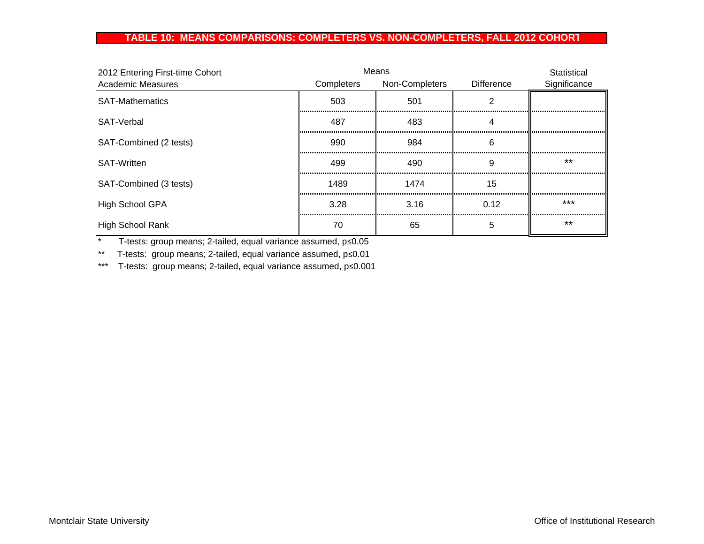## **TABLE 10: MEANS COMPARISONS: COMPLETERS VS. NON-COMPLETERS, FALL 2012 COHOR T**

| 2012 Entering First-time Cohort |            | Means          |                   | Statistical  |
|---------------------------------|------------|----------------|-------------------|--------------|
| <b>Academic Measures</b>        | Completers | Non-Completers | <b>Difference</b> | Significance |
| <b>SAT-Mathematics</b>          | 503        | 501            |                   |              |
| SAT-Verbal                      | 487        | 483<br>        |                   |              |
| SAT-Combined (2 tests)          | 990        | 984            | 6                 |              |
| <b>SAT-Written</b>              | 499        | 490            | 9                 | $***$        |
| SAT-Combined (3 tests)          | 1489       | 1474           | 15                |              |
| <b>High School GPA</b>          | 3.28       | 3.16           | 0.12              | $***$        |
| <b>High School Rank</b>         | 70         | 65             | 5                 | $***$        |

\* T-tests: group means; 2-tailed, equal variance assumed, p≤0.05

\*\* T-tests: group means; 2-tailed, equal variance assumed, p≤0.01

\*\*\* T-tests: group means; 2-tailed, equal variance assumed, p≤0.001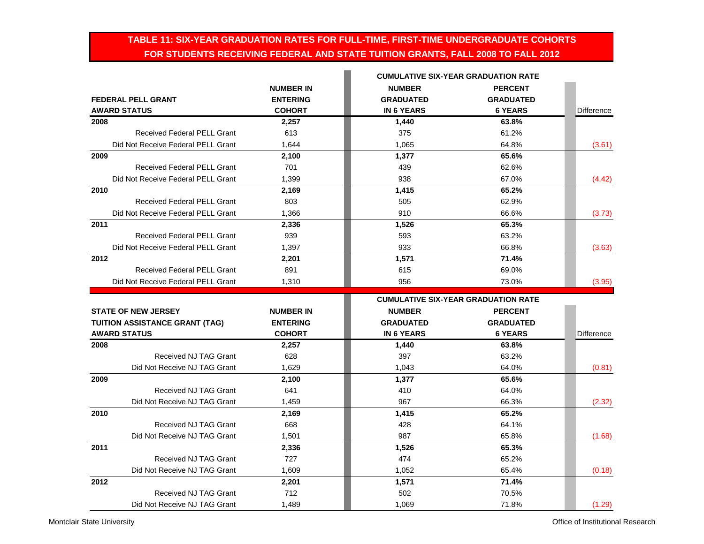## **TABLE 11: SIX-YEAR GRADUATION RATES FOR FULL-TIME, FIRST-TIME UNDERGRADUATE COHORTS FOR STUDENTS RECEIVING FEDERAL AND STATE TUITION GRANTS, FALL 2008 TO FALL 2012**

|                                       | <b>NUMBER IN</b> | <b>NUMBER</b>                                                                                                                                                                                                                                                                                                                                                                                                                            | <b>PERCENT</b>   |                   |  |  |
|---------------------------------------|------------------|------------------------------------------------------------------------------------------------------------------------------------------------------------------------------------------------------------------------------------------------------------------------------------------------------------------------------------------------------------------------------------------------------------------------------------------|------------------|-------------------|--|--|
| <b>FEDERAL PELL GRANT</b>             | <b>ENTERING</b>  | <b>GRADUATED</b>                                                                                                                                                                                                                                                                                                                                                                                                                         | <b>GRADUATED</b> |                   |  |  |
| <b>AWARD STATUS</b>                   | <b>COHORT</b>    | <b>IN 6 YEARS</b>                                                                                                                                                                                                                                                                                                                                                                                                                        | <b>6 YEARS</b>   | <b>Difference</b> |  |  |
| 2008                                  | 2,257            | 1,440                                                                                                                                                                                                                                                                                                                                                                                                                                    | 63.8%            |                   |  |  |
| <b>Received Federal PELL Grant</b>    | 613              | 375                                                                                                                                                                                                                                                                                                                                                                                                                                      | 61.2%            |                   |  |  |
| Did Not Receive Federal PELL Grant    | 1,644            | 1,065                                                                                                                                                                                                                                                                                                                                                                                                                                    | 64.8%            | (3.61)            |  |  |
| 2009                                  | 2,100            | 1,377                                                                                                                                                                                                                                                                                                                                                                                                                                    | 65.6%            |                   |  |  |
| <b>Received Federal PELL Grant</b>    | 701              | 439                                                                                                                                                                                                                                                                                                                                                                                                                                      | 62.6%            |                   |  |  |
| Did Not Receive Federal PELL Grant    | 1,399            | 938                                                                                                                                                                                                                                                                                                                                                                                                                                      | 67.0%            | (4.42)            |  |  |
| 2010                                  | 2,169            | 1,415                                                                                                                                                                                                                                                                                                                                                                                                                                    | 65.2%            |                   |  |  |
| <b>Received Federal PELL Grant</b>    | 803              | 505                                                                                                                                                                                                                                                                                                                                                                                                                                      | 62.9%            |                   |  |  |
| Did Not Receive Federal PELL Grant    | 1,366            | 910                                                                                                                                                                                                                                                                                                                                                                                                                                      | 66.6%            | (3.73)            |  |  |
| 2011                                  | 2,336            | 1,526                                                                                                                                                                                                                                                                                                                                                                                                                                    | 65.3%            |                   |  |  |
| <b>Received Federal PELL Grant</b>    | 939              | 593                                                                                                                                                                                                                                                                                                                                                                                                                                      | 63.2%            |                   |  |  |
| Did Not Receive Federal PELL Grant    | 1,397            | 933                                                                                                                                                                                                                                                                                                                                                                                                                                      | 66.8%            | (3.63)            |  |  |
| 2012                                  | 2,201            | 1,571                                                                                                                                                                                                                                                                                                                                                                                                                                    | 71.4%            |                   |  |  |
| <b>Received Federal PELL Grant</b>    | 891              | 615                                                                                                                                                                                                                                                                                                                                                                                                                                      | 69.0%            |                   |  |  |
| Did Not Receive Federal PELL Grant    | 1,310            | 956                                                                                                                                                                                                                                                                                                                                                                                                                                      | 73.0%            | (3.95)            |  |  |
|                                       |                  | <b>CUMULATIVE SIX-YEAR GRADUATION RATE</b><br><b>CUMULATIVE SIX-YEAR GRADUATION RATE</b><br><b>NUMBER</b><br><b>PERCENT</b><br><b>GRADUATED</b><br><b>GRADUATED</b><br><b>IN 6 YEARS</b><br><b>6 YEARS</b><br>1,440<br>63.8%<br>397<br>63.2%<br>64.0%<br>1,043<br>65.6%<br>1,377<br>410<br>64.0%<br>967<br>66.3%<br>65.2%<br>1,415<br>64.1%<br>428<br>987<br>65.8%<br>65.3%<br>1,526<br>65.2%<br>474<br>1,052<br>65.4%<br>1,571<br>71.4% |                  |                   |  |  |
| <b>STATE OF NEW JERSEY</b>            | <b>NUMBER IN</b> |                                                                                                                                                                                                                                                                                                                                                                                                                                          |                  |                   |  |  |
| <b>TUITION ASSISTANCE GRANT (TAG)</b> | <b>ENTERING</b>  |                                                                                                                                                                                                                                                                                                                                                                                                                                          |                  |                   |  |  |
|                                       |                  |                                                                                                                                                                                                                                                                                                                                                                                                                                          |                  |                   |  |  |
|                                       |                  |                                                                                                                                                                                                                                                                                                                                                                                                                                          |                  |                   |  |  |
| <b>AWARD STATUS</b>                   | <b>COHORT</b>    |                                                                                                                                                                                                                                                                                                                                                                                                                                          |                  | Difference        |  |  |
| 2008                                  | 2,257            |                                                                                                                                                                                                                                                                                                                                                                                                                                          |                  |                   |  |  |
| Received NJ TAG Grant                 | 628              |                                                                                                                                                                                                                                                                                                                                                                                                                                          |                  |                   |  |  |
| Did Not Receive NJ TAG Grant          | 1,629            |                                                                                                                                                                                                                                                                                                                                                                                                                                          |                  | (0.81)            |  |  |
| 2009                                  | 2,100            |                                                                                                                                                                                                                                                                                                                                                                                                                                          |                  |                   |  |  |
| Received NJ TAG Grant                 | 641              |                                                                                                                                                                                                                                                                                                                                                                                                                                          |                  |                   |  |  |
| Did Not Receive NJ TAG Grant          | 1,459            |                                                                                                                                                                                                                                                                                                                                                                                                                                          |                  | (2.32)            |  |  |
| 2010                                  | 2,169            |                                                                                                                                                                                                                                                                                                                                                                                                                                          |                  |                   |  |  |
| Received NJ TAG Grant                 | 668              |                                                                                                                                                                                                                                                                                                                                                                                                                                          |                  |                   |  |  |
| Did Not Receive NJ TAG Grant          | 1,501            |                                                                                                                                                                                                                                                                                                                                                                                                                                          |                  | (1.68)            |  |  |
| 2011                                  | 2,336            |                                                                                                                                                                                                                                                                                                                                                                                                                                          |                  |                   |  |  |
| Received NJ TAG Grant                 | 727              |                                                                                                                                                                                                                                                                                                                                                                                                                                          |                  |                   |  |  |
| Did Not Receive NJ TAG Grant          | 1,609            |                                                                                                                                                                                                                                                                                                                                                                                                                                          |                  | (0.18)            |  |  |
| 2012<br>Received NJ TAG Grant         | 2,201<br>712     | 502                                                                                                                                                                                                                                                                                                                                                                                                                                      | 70.5%            |                   |  |  |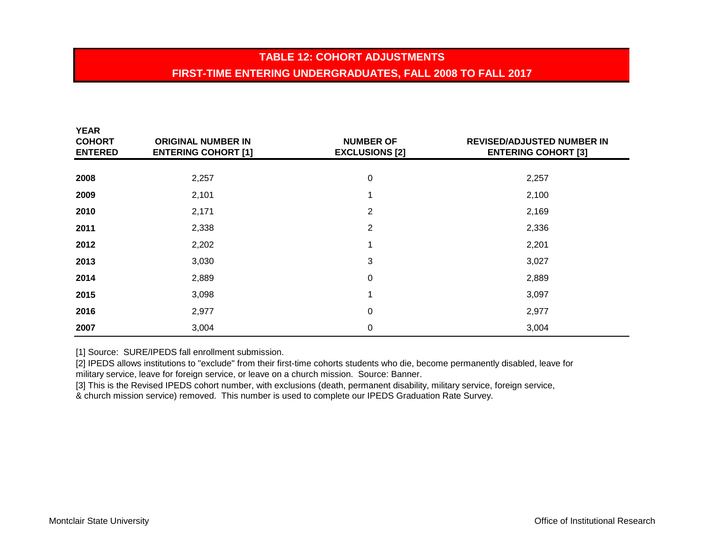# **TABLE 12: COHORT ADJUSTMENTSFIRST-TIME ENTERING UNDERGRADUATES, FALL 2008 TO FALL 2017**

| <b>YEAR</b><br><b>COHORT</b><br><b>ENTERED</b> | <b>ORIGINAL NUMBER IN</b><br><b>ENTERING COHORT [1]</b> | <b>NUMBER OF</b><br><b>EXCLUSIONS [2]</b> | <b>REVISED/ADJUSTED NUMBER IN</b><br><b>ENTERING COHORT [3]</b> |
|------------------------------------------------|---------------------------------------------------------|-------------------------------------------|-----------------------------------------------------------------|
|                                                |                                                         |                                           |                                                                 |
| 2008                                           | 2,257                                                   | $\mathbf 0$                               | 2,257                                                           |
| 2009                                           | 2,101                                                   |                                           | 2,100                                                           |
| 2010                                           | 2,171                                                   | $\overline{2}$                            | 2,169                                                           |
| 2011                                           | 2,338                                                   | $\overline{2}$                            | 2,336                                                           |
| 2012                                           | 2,202                                                   |                                           | 2,201                                                           |
| 2013                                           | 3,030                                                   | 3                                         | 3,027                                                           |
| 2014                                           | 2,889                                                   | 0                                         | 2,889                                                           |
| 2015                                           | 3,098                                                   | 1                                         | 3,097                                                           |
| 2016                                           | 2,977                                                   | 0                                         | 2,977                                                           |
| 2007                                           | 3,004                                                   | 0                                         | 3,004                                                           |

[1] Source: SURE/IPEDS fall enrollment submission.

[2] IPEDS allows institutions to "exclude" from their first-time cohorts students who die, become permanently disabled, leave for military service, leave for foreign service, or leave on a church mission. Source: Banner.

[3] This is the Revised IPEDS cohort number, with exclusions (death, permanent disability, military service, foreign service, & church mission service) removed. This number is used to complete our IPEDS Graduation Rate Survey.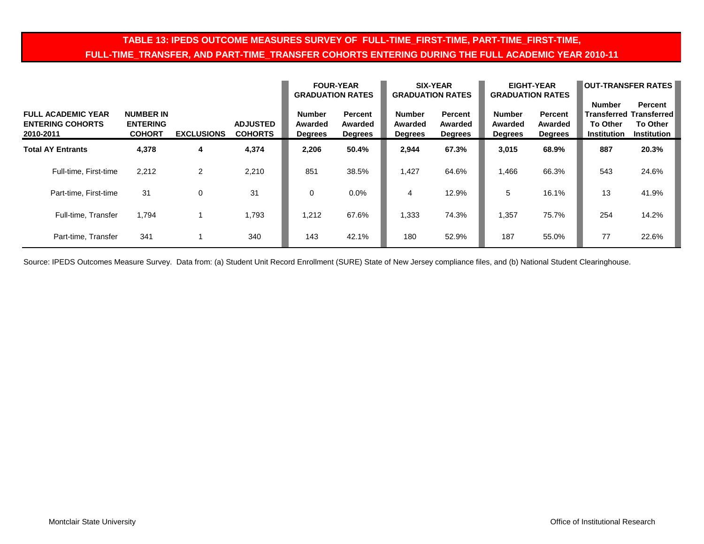## **TABLE 13: IPEDS OUTCOME MEASURES SURVEY OF FULL-TIME\_FIRST-TIME, PART-TIME\_FIRST-TIME, FULL-TIME\_TRANSFER, AND PART-TIME\_TRANSFER COHORTS ENTERING DURING THE FULL ACADEMIC YEAR 2010-11**

|                                                                   |                                                      |                   |                                   | <b>GRADUATION RATES</b>                    | <b>FOUR-YEAR</b>                            | <b>GRADUATION RATES</b>                    | <b>SIX-YEAR</b>                             | <b>GRADUATION RATES</b>                    | <b>EIGHT-YEAR</b>                           | <b>OUT-TRANSFER RATES</b>                              |                                                                                           |  |  |
|-------------------------------------------------------------------|------------------------------------------------------|-------------------|-----------------------------------|--------------------------------------------|---------------------------------------------|--------------------------------------------|---------------------------------------------|--------------------------------------------|---------------------------------------------|--------------------------------------------------------|-------------------------------------------------------------------------------------------|--|--|
| <b>FULL ACADEMIC YEAR</b><br><b>ENTERING COHORTS</b><br>2010-2011 | <b>NUMBER IN</b><br><b>ENTERING</b><br><b>COHORT</b> | <b>EXCLUSIONS</b> | <b>ADJUSTED</b><br><b>COHORTS</b> | <b>Number</b><br>Awarded<br><b>Degrees</b> | <b>Percent</b><br>Awarded<br><b>Degrees</b> | <b>Number</b><br>Awarded<br><b>Degrees</b> | <b>Percent</b><br>Awarded<br><b>Degrees</b> | <b>Number</b><br>Awarded<br><b>Degrees</b> | <b>Percent</b><br>Awarded<br><b>Degrees</b> | <b>Number</b><br><b>To Other</b><br><b>Institution</b> | <b>Percent</b><br><b>Transferred Transferred</b><br><b>To Other</b><br><b>Institution</b> |  |  |
| <b>Total AY Entrants</b>                                          | 4,378                                                | 4                 | 4,374                             | 2,206                                      | 50.4%                                       | 2,944                                      | 67.3%                                       | 3,015                                      | 68.9%                                       | 887                                                    | 20.3%                                                                                     |  |  |
| Full-time, First-time                                             | 2,212                                                | 2                 | 2,210                             | 851                                        | 38.5%                                       | 1,427                                      | 64.6%                                       | 1,466                                      | 66.3%                                       | 543                                                    | 24.6%                                                                                     |  |  |
| Part-time, First-time                                             | 31                                                   | 0                 | 31                                | 0                                          | $0.0\%$                                     | 4                                          | 12.9%                                       | 5                                          | 16.1%                                       | 13                                                     | 41.9%                                                                                     |  |  |
| Full-time, Transfer                                               | 1,794                                                |                   | 1,793                             | 1,212                                      | 67.6%                                       | 1,333                                      | 74.3%                                       | 1,357                                      | 75.7%                                       | 254                                                    | 14.2%                                                                                     |  |  |
| Part-time, Transfer                                               | 341                                                  |                   | 340                               | 143                                        | 42.1%                                       | 180                                        | 52.9%                                       | 187                                        | 55.0%                                       | 77                                                     | 22.6%                                                                                     |  |  |

Source: IPEDS Outcomes Measure Survey. Data from: (a) Student Unit Record Enrollment (SURE) State of New Jersey compliance files, and (b) National Student Clearinghouse.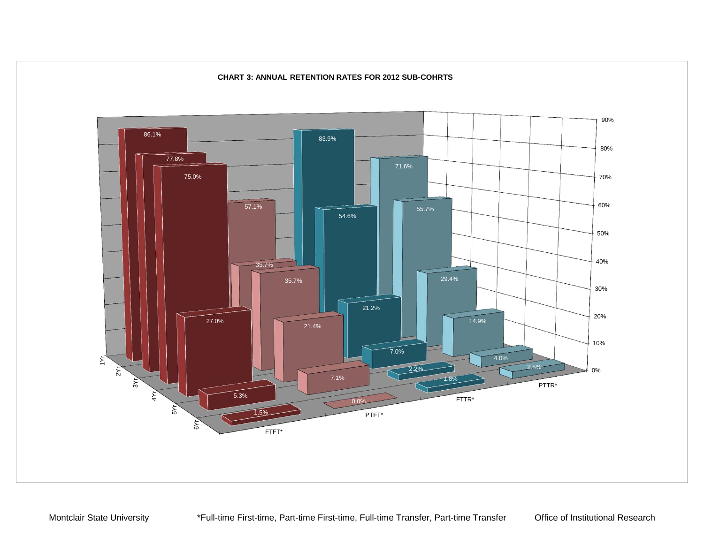

### **CHART 3: ANNUAL RETENTION RATES FOR 2012 SUB-COHRTS**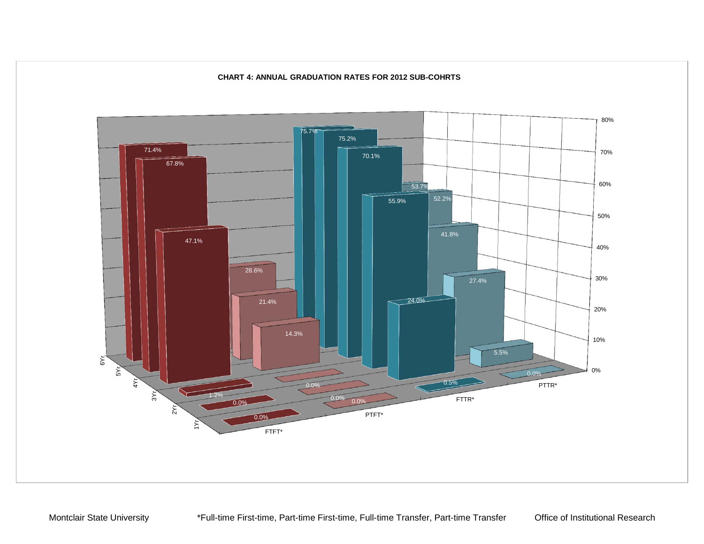

### **CHART 4: ANNUAL GRADUATION RATES FOR 2012 SUB-COHRTS**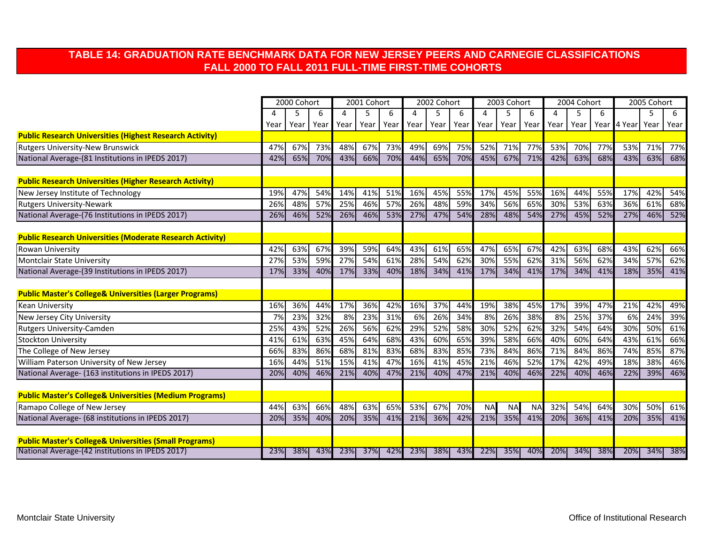## **TABLE 14: GRADUATION RATE BENCHMARK DATA FOR NEW JERSEY PEERS AND CARNEGIE CLASSIFICATIONS FALL 2000 TO FALL 2011 FULL-TIME FIRST-TIME COHORTS**

|                                                                    | 2000 Cohort |      |      |      | 2001 Cohort |      |      | 2002 Cohort |      | 2003 Cohort |           |           | 2004 Cohort |      |     | 2005 Cohort      |     |      |
|--------------------------------------------------------------------|-------------|------|------|------|-------------|------|------|-------------|------|-------------|-----------|-----------|-------------|------|-----|------------------|-----|------|
|                                                                    |             | 5    | 6    | 4    | 5           | 6    | Δ    |             | 6    | 4           | 5         | 6         | 4           | 5    | 6   |                  | 5   | 6    |
|                                                                    | Year        | Year | Year | Year | Year        | Year | Year | Year        | Year | Year        | Year      | Year      | Year        | Year |     | Year 4 Year Year |     | Year |
| <b>Public Research Universities (Highest Research Activity)</b>    |             |      |      |      |             |      |      |             |      |             |           |           |             |      |     |                  |     |      |
| <b>Rutgers University-New Brunswick</b>                            | 47%         | 67%  | 73%  | 48%  | 67%         | 73%  | 49%  | 69%         | 75%  | 52%         | 71%       | 77%       | 53%         | 70%  | 77% | 53%              | 71% | 77%  |
| National Average-(81 Institutions in IPEDS 2017)                   | 42%         | 65%  | 70%  | 43%  | 66%         | 70%  | 44%  | 65%         | 70%  | 45%         | 67%       | 71%       | 42%         | 63%  | 68% | 43%              | 63% | 68%  |
|                                                                    |             |      |      |      |             |      |      |             |      |             |           |           |             |      |     |                  |     |      |
| <b>Public Research Universities (Higher Research Activity)</b>     |             |      |      |      |             |      |      |             |      |             |           |           |             |      |     |                  |     |      |
| New Jersey Institute of Technology                                 | 19%         | 47%  | 54%  | 14%  | 41%         | 51%  | 16%  | 45%         | 55%  | 17%         | 45%       | 55%       | 16%         | 44%  | 55% | 17%              | 42% | 54%  |
| Rutgers University-Newark                                          | 26%         | 48%  | 57%  | 25%  | 46%         | 57%  | 26%  | 48%         | 59%  | 34%         | 56%       | 65%       | 30%         | 53%  | 63% | 36%              | 61% | 68%  |
| National Average-(76 Institutions in IPEDS 2017)                   | 26%         | 46%  | 52%  | 26%  | 46%         | 53%  | 27%  | 47%         | 54%  | 28%         | 48%       | 54%       | 27%         | 45%  | 52% | 27%              | 46% | 52%  |
| <b>Public Research Universities (Moderate Research Activity)</b>   |             |      |      |      |             |      |      |             |      |             |           |           |             |      |     |                  |     |      |
| Rowan University                                                   | 42%         | 63%  | 67%  | 39%  | 59%         | 64%  | 43%  | 61%         | 65%  | 47%         | 65%       | 67%       | 42%         | 63%  | 68% | 43%              | 62% | 66%  |
| Montclair State University                                         | 27%         | 53%  | 59%  | 27%  | 54%         | 61%  | 28%  | 54%         | 62%  | 30%         | 55%       | 62%       | 31%         | 56%  | 62% | 34%              | 57% | 62%  |
| National Average-(39 Institutions in IPEDS 2017)                   | 17%         | 33%  | 40%  | 17%  | 33%         | 40%  | 18%  | 34%         | 41%  | 17%         | 34%       | 41%       | 17%         | 34%  | 41% | 18%              | 35% | 41%  |
|                                                                    |             |      |      |      |             |      |      |             |      |             |           |           |             |      |     |                  |     |      |
| <b>Public Master's College&amp; Universities (Larger Programs)</b> |             |      |      |      |             |      |      |             |      |             |           |           |             |      |     |                  |     |      |
| Kean University                                                    | 16%         | 36%  | 44%  | 17%  | 36%         | 42%  | 16%  | 37%         | 44%  | 19%         | 38%       | 45%       | 17%         | 39%  | 47% | 21%              | 42% | 49%  |
| New Jersey City University                                         | 7%          | 23%  | 32%  | 8%   | 23%         | 31%  | 6%   | 26%         | 34%  | 8%          | 26%       | 38%       | 8%          | 25%  | 37% | 6%               | 24% | 39%  |
| Rutgers University-Camden                                          | 25%         | 43%  | 52%  | 26%  | 56%         | 62%  | 29%  | 52%         | 58%  | 30%         | 52%       | 62%       | 32%         | 54%  | 64% | 30%              | 50% | 61%  |
| <b>Stockton University</b>                                         | 41%         | 61%  | 63%  | 45%  | 64%         | 68%  | 43%  | 60%         | 65%  | 39%         | 58%       | 66%       | 40%         | 60%  | 64% | 43%              | 61% | 66%  |
| The College of New Jersey                                          | 66%         | 83%  | 86%  | 68%  | 81%         | 83%  | 68%  | 83%         | 85%  | 73%         | 84%       | 86%       | 71%         | 84%  | 86% | 74%              | 85% | 87%  |
| William Paterson University of New Jersey                          | 16%         | 44%  | 51%  | 15%  | 41%         | 47%  | 16%  | 41%         | 45%  | 21%         | 46%       | 52%       | 17%         | 42%  | 49% | 18%              | 38% | 46%  |
| National Average- (163 institutions in IPEDS 2017)                 | 20%         | 40%  | 46%  | 21%  | 40%         | 47%  | 21%  | 40%         | 47%  | 21%         | 40%       | 46%       | 22%         | 40%  | 46% | 22%              | 39% | 46%  |
|                                                                    |             |      |      |      |             |      |      |             |      |             |           |           |             |      |     |                  |     |      |
| <b>Public Master's College&amp; Universities (Medium Programs)</b> |             |      |      |      |             |      |      |             |      |             |           |           |             |      |     |                  |     |      |
| Ramapo College of New Jersey                                       | 44%         | 63%  | 66%  | 48%  | 63%         | 65%  | 53%  | 67%         | 70%  | <b>NA</b>   | <b>NA</b> | <b>NA</b> | 32%         | 54%  | 64% | 30%              | 50% | 61%  |
| National Average- (68 institutions in IPEDS 2017)                  | 20%         | 35%  | 40%  | 20%  | 35%         | 41%  | 21%  | 36%         | 42%  | 21%         | 35%       | 41%       | 20%         | 36%  | 41% | 20%              | 35% | 41%  |
| <b>Public Master's College&amp; Universities (Small Programs)</b>  |             |      |      |      |             |      |      |             |      |             |           |           |             |      |     |                  |     |      |
| National Average-(42 institutions in IPEDS 2017)                   | 23%         | 38%  | 43%  | 23%  | 37%         | 42%  | 23%  | 38%         | 43%  | 22%         | 35%       | 40%       | 20%         | 34%  | 38% | 20%              | 34% | 38%  |
|                                                                    |             |      |      |      |             |      |      |             |      |             |           |           |             |      |     |                  |     |      |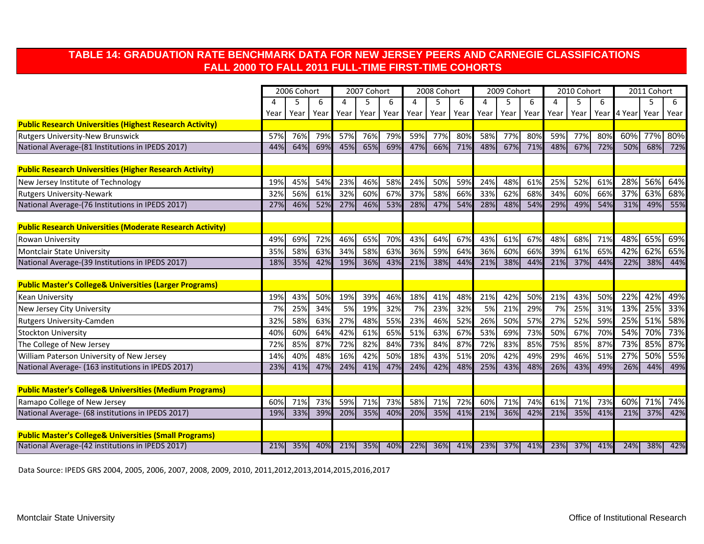## **TABLE 14: GRADUATION RATE BENCHMARK DATA FOR NEW JERSEY PEERS AND CARNEGIE CLASSIFICATIONS FALL 2000 TO FALL 2011 FULL-TIME FIRST-TIME COHORTS**

|                                                                    | 2006 Cohort |      |      | 2007 Cohort |      |      |      | 2008 Cohort |      | 2009 Cohort |      |      | 2010 Cohort |      |     | 2011 Cohort |      |      |
|--------------------------------------------------------------------|-------------|------|------|-------------|------|------|------|-------------|------|-------------|------|------|-------------|------|-----|-------------|------|------|
|                                                                    |             | 5    | 6    | 4           | 5.   | 6    | Δ    |             | 6    | 4           | 5    | 6    | 4           | 5    | 6   |             | 5    | 6    |
|                                                                    | Year        | Year | Year | Year        | Year | Year | Year | Year        | Year | Year        | Year | Year | Year        | Year |     | Year 4 Year | Year | Year |
| <b>Public Research Universities (Highest Research Activity)</b>    |             |      |      |             |      |      |      |             |      |             |      |      |             |      |     |             |      |      |
| Rutgers University-New Brunswick                                   | 57%         | 76%  | 79%  | 57%         | 76%  | 79%  | 59%  | 77%         | 80%  | 58%         | 77%  | 80%  | 59%         | 77%  | 80% | 60%         | 77%  | 80%  |
| National Average-(81 Institutions in IPEDS 2017)                   | 44%         | 64%  | 69%  | 45%         | 65%  | 69%  | 47%  | 66%         | 71%  | 48%         | 67%  | 71%  | 48%         | 67%  | 72% | 50%         | 68%  | 72%  |
| <b>Public Research Universities (Higher Research Activity)</b>     |             |      |      |             |      |      |      |             |      |             |      |      |             |      |     |             |      |      |
| New Jersey Institute of Technology                                 | 19%         | 45%  | 54%  | 23%         | 46%  | 58%  | 24%  | 50%         | 59%  | 24%         | 48%  | 61%  | 25%         | 52%  | 61% | 28%         | 56%  | 64%  |
| <b>Rutgers University-Newark</b>                                   | 32%         | 56%  | 61%  | 32%         | 60%  | 67%  | 37%  | 58%         | 66%  | 33%         | 62%  | 68%  | 34%         | 60%  | 66% | 37%         | 63%  | 68%  |
| National Average-(76 Institutions in IPEDS 2017)                   | 27%         | 46%  | 52%  | 27%         | 46%  | 53%  | 28%  | 47%         | 54%  | 28%         | 48%  | 54%  | 29%         | 49%  | 54% | 31%         | 49%  | 55%  |
| <b>Public Research Universities (Moderate Research Activity)</b>   |             |      |      |             |      |      |      |             |      |             |      |      |             |      |     |             |      |      |
| Rowan University                                                   | 49%         | 69%  | 72%  | 46%         | 65%  | 70%  | 43%  | 64%         | 67%  | 43%         | 61%  | 67%  | 48%         | 68%  | 71% | 48%         | 65%  | 69%  |
| <b>Montclair State University</b>                                  | 35%         | 58%  | 63%  | 34%         | 58%  | 63%  | 36%  | 59%         | 64%  | 36%         | 60%  | 66%  | 39%         | 61%  | 65% | 42%         | 62%  | 65%  |
| National Average-(39 Institutions in IPEDS 2017)                   | 18%         | 35%  | 42%  | 19%         | 36%  | 43%  | 21%  | 38%         | 44%  | 21%         | 38%  | 44%  | 21%         | 37%  | 44% | 22%         | 38%  | 44%  |
| <b>Public Master's College&amp; Universities (Larger Programs)</b> |             |      |      |             |      |      |      |             |      |             |      |      |             |      |     |             |      |      |
| <b>Kean University</b>                                             | 19%         | 43%  | 50%  | 19%         | 39%  | 46%  | 18%  | 41%         | 48%  | 21%         | 42%  | 50%  | 21%         | 43%  | 50% | 22%         | 42%  | 49%  |
| New Jersey City University                                         | 7%          | 25%  | 34%  | 5%          | 19%  | 32%  | 7%   | 23%         | 32%  | 5%          | 21%  | 29%  | 7%          | 25%  | 31% | 13%         | 25%  | 33%  |
| <b>Rutgers University-Camden</b>                                   | 32%         | 58%  | 63%  | 27%         | 48%  | 55%  | 23%  | 46%         | 52%  | 26%         | 50%  | 57%  | 27%         | 52%  | 59% | 25%         | 51%  | 58%  |
| <b>Stockton University</b>                                         | 40%         | 60%  | 64%  | 42%         | 61%  | 65%  | 51%  | 63%         | 67%  | 53%         | 69%  | 73%  | 50%         | 67%  | 70% | 54%         | 70%  | 73%  |
| The College of New Jersey                                          | 72%         | 85%  | 87%  | 72%         | 82%  | 84%  | 73%  | 84%         | 87%  | 72%         | 83%  | 85%  | 75%         | 85%  | 87% | 73%         | 85%  | 87%  |
| William Paterson University of New Jersey                          | 14%         | 40%  | 48%  | 16%         | 42%  | 50%  | 18%  | 43%         | 51%  | 20%         | 42%  | 49%  | 29%         | 46%  | 51% | 27%         | 50%  | 55%  |
| National Average- (163 institutions in IPEDS 2017)                 | 23%         | 41%  | 47%  | 24%         | 41%  | 47%  | 24%  | 42%         | 48%  | 25%         | 43%  | 48%  | 26%         | 43%  | 49% | 26%         | 44%  | 49%  |
| <b>Public Master's College&amp; Universities (Medium Programs)</b> |             |      |      |             |      |      |      |             |      |             |      |      |             |      |     |             |      |      |
| Ramapo College of New Jersey                                       | 60%         | 71%  | 73%  | 59%         | 71%  | 73%  | 58%  | 71%         | 72%  | 60%         | 71%  | 74%  | 61%         | 71%  | 73% | 60%         | 71%  | 74%  |
| National Average- (68 institutions in IPEDS 2017)                  | 19%         | 33%  | 39%  | 20%         | 35%  | 40%  | 20%  | 35%         | 41%  | 21%         | 36%  | 42%  | 21%         | 35%  | 41% | 21%         | 37%  | 42%  |
|                                                                    |             |      |      |             |      |      |      |             |      |             |      |      |             |      |     |             |      |      |
| <b>Public Master's College&amp; Universities (Small Programs)</b>  |             |      |      |             |      |      |      |             |      |             |      |      |             |      |     |             |      |      |
| National Average-(42 institutions in IPEDS 2017)                   | 21%         | 35%  | 40%  | 21%         | 35%  | 40%  | 22%  | 36%         | 41%  | 23%         | 37%  | 41%  | 23%         | 37%  | 41% | 24%         | 38%  | 42%  |

Data Source: IPEDS GRS 2004, 2005, 2006, 2007, 2008, 2009, 2010, 2011,2012,2013,2014,2015,2016,2017